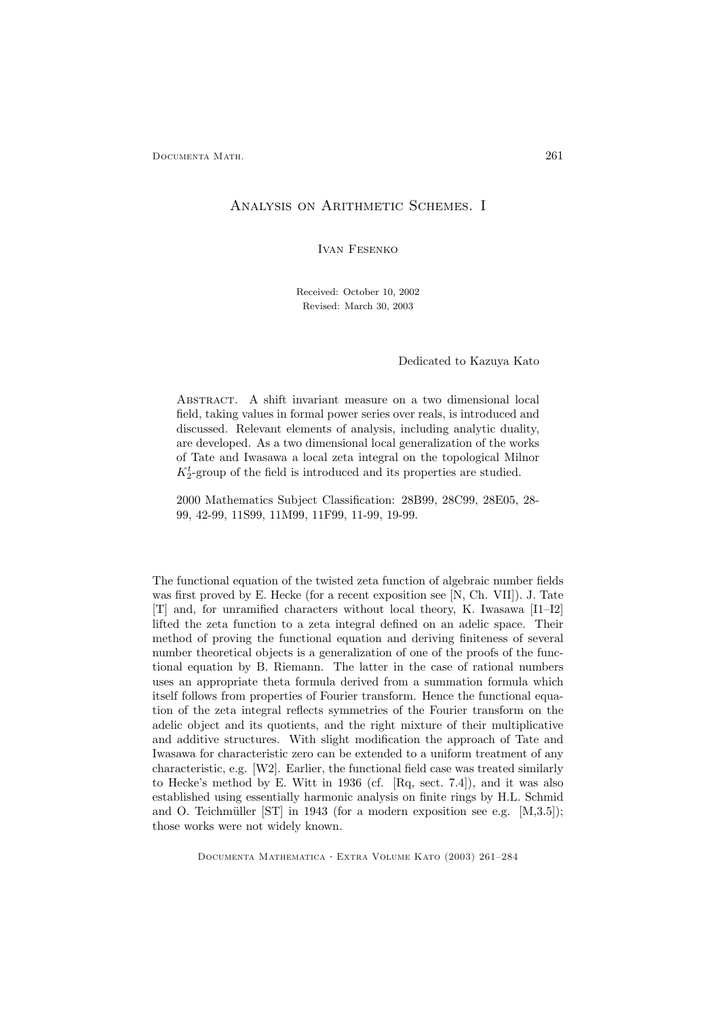### ANALYSIS ON ARITHMETIC SCHEMES. I

Ivan Fesenko

Received: October 10, 2002 Revised: March 30, 2003

## Dedicated to Kazuya Kato

ABSTRACT. A shift invariant measure on a two dimensional local field, taking values in formal power series over reals, is introduced and discussed. Relevant elements of analysis, including analytic duality, are developed. As a two dimensional local generalization of the works of Tate and Iwasawa a local zeta integral on the topological Milnor  $K_2^t$ -group of the field is introduced and its properties are studied.

2000 Mathematics Subject Classification: 28B99, 28C99, 28E05, 28- 99, 42-99, 11S99, 11M99, 11F99, 11-99, 19-99.

The functional equation of the twisted zeta function of algebraic number fields was first proved by E. Hecke (for a recent exposition see [N, Ch. VII]). J. Tate [T] and, for unramified characters without local theory, K. Iwasawa [I1–I2] lifted the zeta function to a zeta integral defined on an adelic space. Their method of proving the functional equation and deriving finiteness of several number theoretical objects is a generalization of one of the proofs of the functional equation by B. Riemann. The latter in the case of rational numbers uses an appropriate theta formula derived from a summation formula which itself follows from properties of Fourier transform. Hence the functional equation of the zeta integral reflects symmetries of the Fourier transform on the adelic object and its quotients, and the right mixture of their multiplicative and additive structures. With slight modification the approach of Tate and Iwasawa for characteristic zero can be extended to a uniform treatment of any characteristic, e.g. [W2]. Earlier, the functional field case was treated similarly to Hecke's method by E. Witt in 1936 (cf. [Rq, sect. 7.4]), and it was also established using essentially harmonic analysis on finite rings by H.L. Schmid and O. Teichmüller [ST] in 1943 (for a modern exposition see e.g.  $[M,3.5]$ ); those works were not widely known.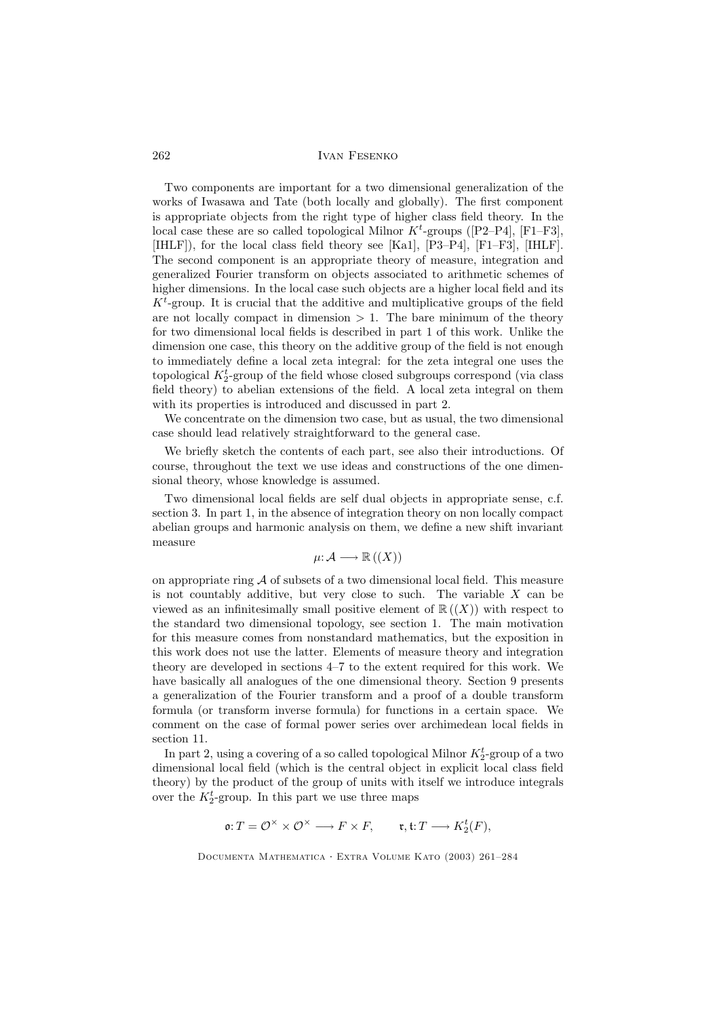Two components are important for a two dimensional generalization of the works of Iwasawa and Tate (both locally and globally). The first component is appropriate objects from the right type of higher class field theory. In the local case these are so called topological Milnor  $K^t$ -groups ([P2–P4], [F1–F3], [IHLF]), for the local class field theory see [Ka1], [P3–P4], [F1–F3], [IHLF]. The second component is an appropriate theory of measure, integration and generalized Fourier transform on objects associated to arithmetic schemes of higher dimensions. In the local case such objects are a higher local field and its  $K<sup>t</sup>$ -group. It is crucial that the additive and multiplicative groups of the field are not locally compact in dimension  $> 1$ . The bare minimum of the theory for two dimensional local fields is described in part 1 of this work. Unlike the dimension one case, this theory on the additive group of the field is not enough to immediately define a local zeta integral: for the zeta integral one uses the topological  $K_2^t$ -group of the field whose closed subgroups correspond (via class field theory) to abelian extensions of the field. A local zeta integral on them with its properties is introduced and discussed in part 2.

We concentrate on the dimension two case, but as usual, the two dimensional case should lead relatively straightforward to the general case.

We briefly sketch the contents of each part, see also their introductions. Of course, throughout the text we use ideas and constructions of the one dimensional theory, whose knowledge is assumed.

Two dimensional local fields are self dual objects in appropriate sense, c.f. section 3. In part 1, in the absence of integration theory on non locally compact abelian groups and harmonic analysis on them, we define a new shift invariant measure

$$
\mu: \mathcal{A} \longrightarrow \mathbb{R}((X))
$$

on appropriate ring  $A$  of subsets of a two dimensional local field. This measure is not countably additive, but very close to such. The variable  $X$  can be viewed as an infinitesimally small positive element of  $\mathbb{R}((X))$  with respect to the standard two dimensional topology, see section 1. The main motivation for this measure comes from nonstandard mathematics, but the exposition in this work does not use the latter. Elements of measure theory and integration theory are developed in sections 4–7 to the extent required for this work. We have basically all analogues of the one dimensional theory. Section 9 presents a generalization of the Fourier transform and a proof of a double transform formula (or transform inverse formula) for functions in a certain space. We comment on the case of formal power series over archimedean local fields in section 11.

In part 2, using a covering of a so called topological Milnor  $K_2^t$ -group of a two dimensional local field (which is the central object in explicit local class field theory) by the product of the group of units with itself we introduce integrals over the  $K_2^t$ -group. In this part we use three maps

$$
\mathfrak{o}: T = \mathcal{O}^\times \times \mathcal{O}^\times \longrightarrow F \times F, \qquad \mathfrak{r}, \mathfrak{t}: T \longrightarrow K_2^t(F),
$$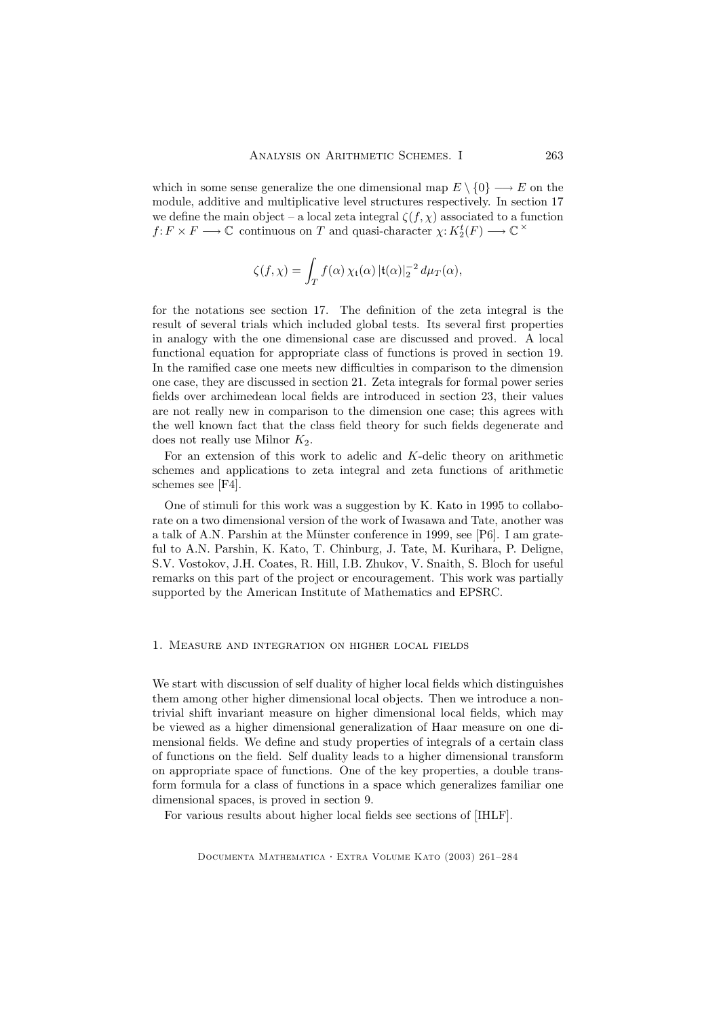which in some sense generalize the one dimensional map  $E \setminus \{0\} \longrightarrow E$  on the module, additive and multiplicative level structures respectively. In section 17 we define the main object – a local zeta integral  $\zeta(f, \chi)$  associated to a function  $f: F \times F \longrightarrow \mathbb{C}$  continuous on T and quasi-character  $\chi: K_2^t(F) \longrightarrow \mathbb{C}^\times$ 

$$
\zeta(f,\chi) = \int_T f(\alpha) \,\chi_t(\alpha) \, | \mathfrak{t}(\alpha)|_2^{-2} \, d\mu_T(\alpha),
$$

for the notations see section 17. The definition of the zeta integral is the result of several trials which included global tests. Its several first properties in analogy with the one dimensional case are discussed and proved. A local functional equation for appropriate class of functions is proved in section 19. In the ramified case one meets new difficulties in comparison to the dimension one case, they are discussed in section 21. Zeta integrals for formal power series fields over archimedean local fields are introduced in section 23, their values are not really new in comparison to the dimension one case; this agrees with the well known fact that the class field theory for such fields degenerate and does not really use Milnor  $K_2$ .

For an extension of this work to adelic and K-delic theory on arithmetic schemes and applications to zeta integral and zeta functions of arithmetic schemes see [F4].

One of stimuli for this work was a suggestion by K. Kato in 1995 to collaborate on a two dimensional version of the work of Iwasawa and Tate, another was a talk of A.N. Parshin at the Münster conference in 1999, see [P6]. I am grateful to A.N. Parshin, K. Kato, T. Chinburg, J. Tate, M. Kurihara, P. Deligne, S.V. Vostokov, J.H. Coates, R. Hill, I.B. Zhukov, V. Snaith, S. Bloch for useful remarks on this part of the project or encouragement. This work was partially supported by the American Institute of Mathematics and EPSRC.

### 1. Measure and integration on higher local fields

We start with discussion of self duality of higher local fields which distinguishes them among other higher dimensional local objects. Then we introduce a nontrivial shift invariant measure on higher dimensional local fields, which may be viewed as a higher dimensional generalization of Haar measure on one dimensional fields. We define and study properties of integrals of a certain class of functions on the field. Self duality leads to a higher dimensional transform on appropriate space of functions. One of the key properties, a double transform formula for a class of functions in a space which generalizes familiar one dimensional spaces, is proved in section 9.

For various results about higher local fields see sections of [IHLF].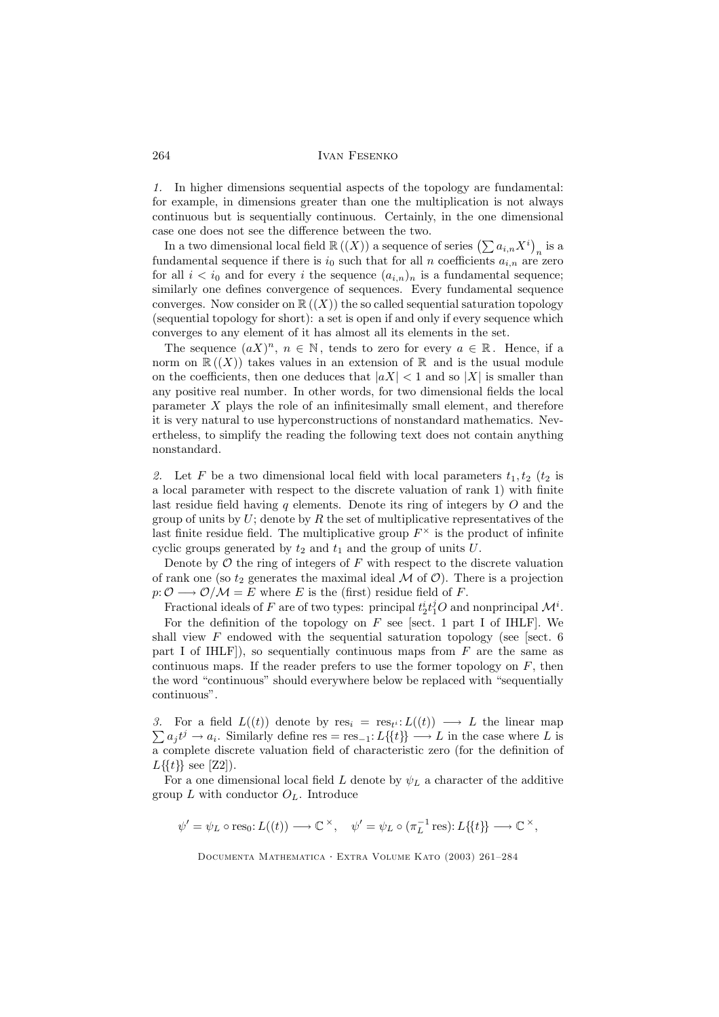1. In higher dimensions sequential aspects of the topology are fundamental: for example, in dimensions greater than one the multiplication is not always continuous but is sequentially continuous. Certainly, in the one dimensional case one does not see the difference between the two.

In a two dimensional local field  $\mathbb{R}((X))$  a sequence of series  $(\sum a_{i,n}X^{i})_{n}$  is a fundamental sequence if there is  $i_0$  such that for all n coefficients  $a_{i,n}$  are zero for all  $i < i_0$  and for every i the sequence  $(a_{i,n})_n$  is a fundamental sequence; similarly one defines convergence of sequences. Every fundamental sequence converges. Now consider on  $\mathbb{R}((X))$  the so called sequential saturation topology (sequential topology for short): a set is open if and only if every sequence which converges to any element of it has almost all its elements in the set.

The sequence  $(aX)^n$ ,  $n \in \mathbb{N}$ , tends to zero for every  $a \in \mathbb{R}$ . Hence, if a norm on  $\mathbb{R}((X))$  takes values in an extension of  $\mathbb{R}$  and is the usual module on the coefficients, then one deduces that  $|aX| < 1$  and so  $|X|$  is smaller than any positive real number. In other words, for two dimensional fields the local parameter X plays the role of an infinitesimally small element, and therefore it is very natural to use hyperconstructions of nonstandard mathematics. Nevertheless, to simplify the reading the following text does not contain anything nonstandard.

2. Let F be a two dimensional local field with local parameters  $t_1, t_2$  ( $t_2$  is a local parameter with respect to the discrete valuation of rank 1) with finite last residue field having q elements. Denote its ring of integers by  $O$  and the group of units by  $U$ ; denote by  $R$  the set of multiplicative representatives of the last finite residue field. The multiplicative group  $F^{\times}$  is the product of infinite cyclic groups generated by  $t_2$  and  $t_1$  and the group of units U.

Denote by  $\mathcal O$  the ring of integers of  $F$  with respect to the discrete valuation of rank one (so  $t_2$  generates the maximal ideal M of  $\mathcal{O}$ ). There is a projection  $p: \mathcal{O} \longrightarrow \mathcal{O}/\mathcal{M} = E$  where E is the (first) residue field of F.

Fractional ideals of F are of two types: principal  $t_2^i t_1^j O$  and nonprincipal  $\mathcal{M}^i$ . For the definition of the topology on  $F$  see [sect. 1 part I of IHLF]. We shall view  $F$  endowed with the sequential saturation topology (see [sect. 6] part I of IHLF]), so sequentially continuous maps from  $F$  are the same as continuous maps. If the reader prefers to use the former topology on  $F$ , then the word "continuous" should everywhere below be replaced with "sequentially continuous".

3. For a field  $L((t))$  denote by  $res_i = res_{t} : L((t)) \longrightarrow L$  the linear map  $\sum a_j t^j \rightarrow a_i$ . Similarly define res = res<sub>-1</sub>:  $L\{\{t\}\} \longrightarrow L$  in the case where L is a complete discrete valuation field of characteristic zero (for the definition of  $L({t})$  see [Z2]).

For a one dimensional local field L denote by  $\psi_L$  a character of the additive group  $L$  with conductor  $O_L$ . Introduce

$$
\psi' = \psi_L \circ \operatorname{res}_0: L((t)) \longrightarrow \mathbb{C}^\times, \quad \psi' = \psi_L \circ (\pi_L^{-1} \operatorname{res}): L\{\{t\}\} \longrightarrow \mathbb{C}^\times,
$$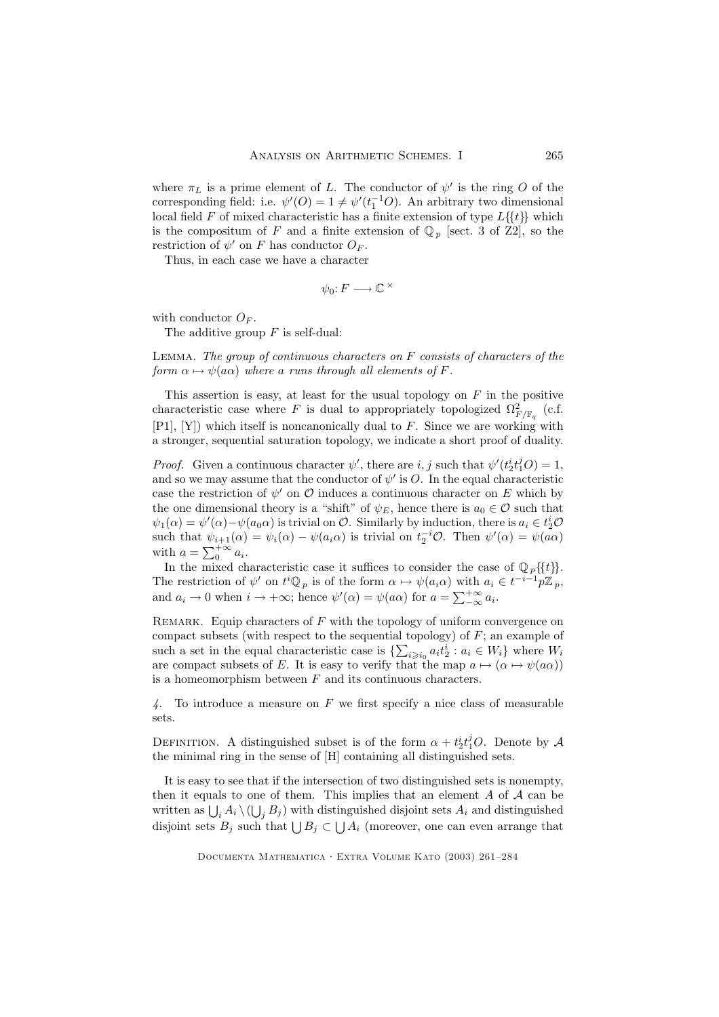where  $\pi_L$  is a prime element of L. The conductor of  $\psi'$  is the ring O of the corresponding field: i.e.  $\psi'(0) = 1 \neq \psi'(t_1^{-1}O)$ . An arbitrary two dimensional local field F of mixed characteristic has a finite extension of type  $L({t})$  which is the compositum of F and a finite extension of  $\mathbb{Q}_p$  [sect. 3 of Z2], so the restriction of  $\psi'$  on F has conductor  $O_F$ .

Thus, in each case we have a character

$$
\psi_0\hbox{\rm :}\ F\longrightarrow \mathbb{C}^{\,\times}
$$

with conductor  $O_F$ .

The additive group  $F$  is self-dual:

Lemma. The group of continuous characters on F consists of characters of the form  $\alpha \mapsto \psi(a\alpha)$  where a runs through all elements of F.

This assertion is easy, at least for the usual topology on  $F$  in the positive characteristic case where F is dual to appropriately topologized  $\Omega_{F/\mathbb{F}_q}^2$  (c.f.  $[P1]$ ,  $[Y]$ ) which itself is noncanonically dual to F. Since we are working with a stronger, sequential saturation topology, we indicate a short proof of duality.

*Proof.* Given a continuous character  $\psi'$ , there are i, j such that  $\psi'(t_2^i t_1^j O) = 1$ , and so we may assume that the conductor of  $\psi'$  is O. In the equal characteristic case the restriction of  $\psi'$  on  $\mathcal O$  induces a continuous character on  $E$  which by the one dimensional theory is a "shift" of  $\psi_E$ , hence there is  $a_0 \in \mathcal{O}$  such that  $\psi_1(\alpha) = \psi'(\alpha) - \psi(a_0 \alpha)$  is trivial on  $\mathcal{O}$ . Similarly by induction, there is  $a_i \in t_2^i \mathcal{O}$ such that  $\psi_{i+1}(\alpha) = \psi_i(\alpha) - \psi(a_i \alpha)$  is trivial on  $t_2^{-i} \mathcal{O}$ . Then  $\psi'(\alpha) = \psi(a\alpha)$ with  $a = \sum_{0}^{+\infty} a_i$ .

In the mixed characteristic case it suffices to consider the case of  $\mathbb{Q}_p\{\{t\}\}.$ The restriction of  $\psi'$  on  $t^i \mathbb{Q}_p$  is of the form  $\alpha \mapsto \psi(a_i \alpha)$  with  $a_i \in t^{-i-1}p\mathbb{Z}_p$ , and  $a_i \to 0$  when  $i \to +\infty$ ; hence  $\psi'(\alpha) = \psi(a\alpha)$  for  $a = \sum_{-\infty}^{+\infty} a_i$ .

REMARK. Equip characters of  $F$  with the topology of uniform convergence on compact subsets (with respect to the sequential topology) of  $F$ ; an example of such a set in the equal characteristic case is  $\{\sum_{i\geqslant i_0} a_i t_2^i : a_i \in W_i\}$  where  $W_i$ are compact subsets of E. It is easy to verify that the map  $a \mapsto (\alpha \mapsto \psi(a\alpha))$ is a homeomorphism between  $F$  and its continuous characters.

4. To introduce a measure on F we first specify a nice class of measurable sets.

DEFINITION. A distinguished subset is of the form  $\alpha + t_2^i t_1^j O$ . Denote by A the minimal ring in the sense of [H] containing all distinguished sets.

It is easy to see that if the intersection of two distinguished sets is nonempty, then it equals to one of them. This implies that an element  $A$  of  $A$  can be written as  $\bigcup_i A_i \setminus (\bigcup_j B_j)$  with distinguished disjoint sets  $A_i$  and distinguished disjoint sets  $B_j$  such that  $\bigcup B_j \subset \bigcup A_i$  (moreover, one can even arrange that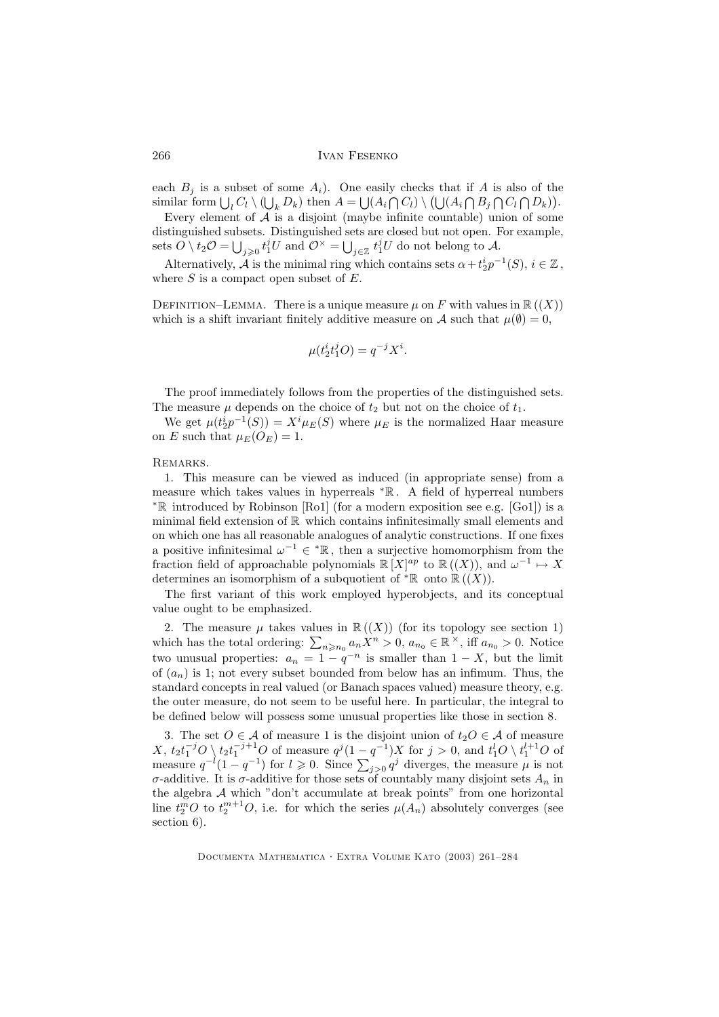each  $B_j$  is a subset of some  $A_i$ ). One easily checks that if A is also of the similar form  $\bigcup_l C_l \setminus (\bigcup_k D_k)$  then  $A = \bigcup (A_i \cap C_l) \setminus (\bigcup (A_i \cap B_j \cap C_l \cap D_k)).$ 

Every element of  $A$  is a disjoint (maybe infinite countable) union of some distinguished subsets. Distinguished sets are closed but not open. For example, sets  $\overline{O} \setminus t_2 \mathcal{O} = \bigcup_{j \geqslant 0} t_1^j U$  and  $\mathcal{O}^\times = \bigcup_{j \in \mathbb{Z}} t_1^j U$  do not belong to A.

Alternatively, A is the minimal ring which contains sets  $\alpha + t_2^i p^{-1}(S)$ ,  $i \in \mathbb{Z}$ , where  $S$  is a compact open subset of  $E$ .

DEFINITION–LEMMA. There is a unique measure  $\mu$  on F with values in  $\mathbb{R}((X))$ which is a shift invariant finitely additive measure on A such that  $\mu(\emptyset) = 0$ ,

$$
\mu(t_2^i t_1^j O) = q^{-j} X^i.
$$

The proof immediately follows from the properties of the distinguished sets. The measure  $\mu$  depends on the choice of  $t_2$  but not on the choice of  $t_1$ .

We get  $\mu(t_2^ip^{-1}(S)) = X^i\mu_E(S)$  where  $\mu_E$  is the normalized Haar measure on E such that  $\mu_E(O_E) = 1$ .

#### Remarks.

1. This measure can be viewed as induced (in appropriate sense) from a measure which takes values in hyperreals <sup>∗</sup>R . A field of hyperreal numbers <sup>∗</sup>R introduced by Robinson [Ro1] (for a modern exposition see e.g. [Go1]) is a minimal field extension of R which contains infinitesimally small elements and on which one has all reasonable analogues of analytic constructions. If one fixes a positive infinitesimal  $\omega^{-1} \in {}^*\mathbb{R}$ , then a surjective homomorphism from the fraction field of approachable polynomials  $\mathbb{R}[X]^{ap}$  to  $\mathbb{R}((X))$ , and  $\omega^{-1} \mapsto X$ determines an isomorphism of a subquotient of  ${}^* \mathbb{R}$  onto  $\mathbb{R}((X)).$ 

The first variant of this work employed hyperobjects, and its conceptual value ought to be emphasized.

2. The measure  $\mu$  takes values in  $\mathbb{R}((X))$  (for its topology see section 1) which has the total ordering:  $\sum_{n\geqslant n_0} a_n \dot{X}^n > 0$ ,  $a_{n_0} \in \mathbb{R}^\times$ , iff  $a_{n_0} > 0$ . Notice two unusual properties:  $a_n = 1 - q^{-n}$  is smaller than  $1 - X$ , but the limit of  $(a_n)$  is 1; not every subset bounded from below has an infimum. Thus, the standard concepts in real valued (or Banach spaces valued) measure theory, e.g. the outer measure, do not seem to be useful here. In particular, the integral to be defined below will possess some unusual properties like those in section 8.

3. The set  $O \in \mathcal{A}$  of measure 1 is the disjoint union of  $t_2O \in \mathcal{A}$  of measure X,  $t_2t_1^{-j}O \setminus t_2t_1^{-j+1}O$  of measure  $q^j(1-q^{-1})X$  for  $j>0$ , and  $t_1^lO \setminus t_1^{l+1}O$  of measure  $q^{-l}(1-q^{-1})$  for  $l \geqslant 0$ . Since  $\sum_{j>0} q^j$  diverges, the measure  $\mu$  is not  $\sigma$ -additive. It is  $\sigma$ -additive for those sets of countably many disjoint sets  $A_n$  in the algebra  $A$  which "don't accumulate at break points" from one horizontal line  $t_2^mO$  to  $t_2^{m+1}O$ , i.e. for which the series  $\mu(A_n)$  absolutely converges (see section 6).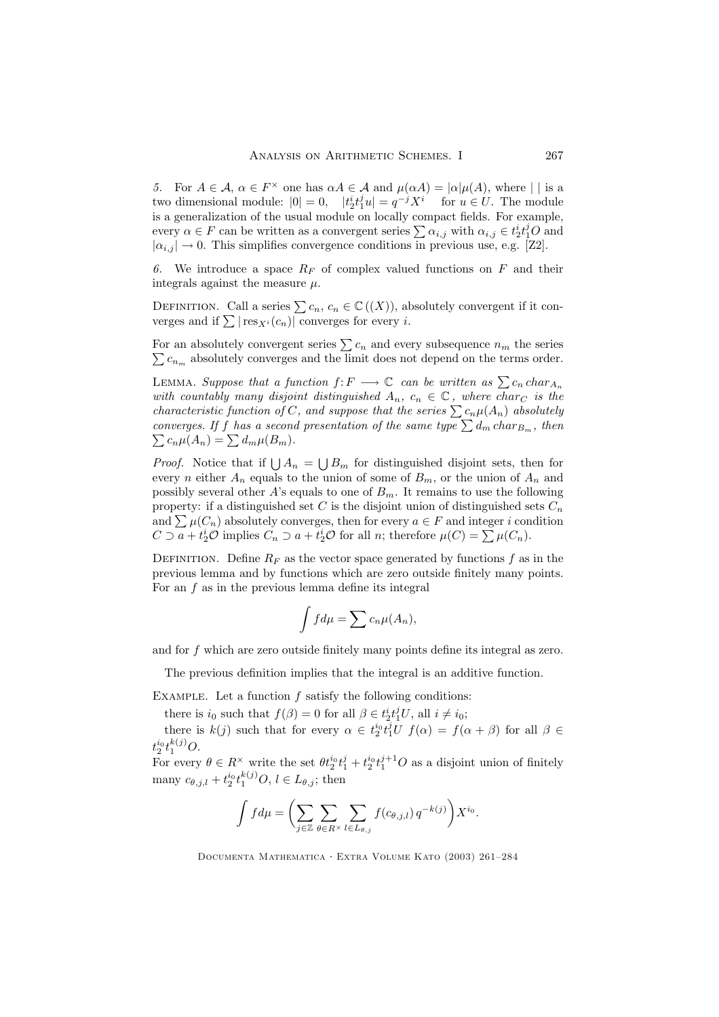5. For  $A \in \mathcal{A}$ ,  $\alpha \in F^{\times}$  one has  $\alpha A \in \mathcal{A}$  and  $\mu(\alpha A) = |\alpha| \mu(A)$ , where || is a two dimensional module:  $|0| = 0$ ,  $|t_2^i t_1^j u| = q^{-j} X^i$  for  $u \in U$ . The module is a generalization of the usual module on locally compact fields. For example, every  $\alpha \in F$  can be written as a convergent series  $\sum \alpha_{i,j}$  with  $\alpha_{i,j} \in t_2^i t_1^j O$  and  $|\alpha_{i,j}| \to 0$ . This simplifies convergence conditions in previous use, e.g. [Z2].

6. We introduce a space  $R_F$  of complex valued functions on  $F$  and their integrals against the measure  $\mu$ .

DEFINITION. Call a series  $\sum c_n$ ,  $c_n \in \mathbb{C}((X))$ , absolutely convergent if it converges and if  $\sum |\text{res}_{X_i}(c_n)|$  converges for every *i*.

For an absolutely convergent series  $\sum c_n$  and every subsequence  $n_m$  the series  $\sum c_{n_m}$  absolutely converges and the limit does not depend on the terms order.

LEMMA. Suppose that a function  $f: F \longrightarrow \mathbb{C}$  can be written as  $\sum c_n \, char_{A_n}$ with countably many disjoint distinguished  $A_n$ ,  $c_n \in \mathbb{C}$ , where char<sub>C</sub> is the characteristic function of C, and suppose that the series  $\sum c_n \mu(A_n)$  absolutely converges. If f has a second presentation of the same type  $\sum d_m$  char $B_m$ , then  $\sum c_n \mu(A_n) = \sum d_m \mu(B_m).$ 

*Proof.* Notice that if  $\bigcup A_n = \bigcup B_m$  for distinguished disjoint sets, then for every *n* either  $A_n$  equals to the union of some of  $B_m$ , or the union of  $A_n$  and possibly several other A's equals to one of  $B_m$ . It remains to use the following property: if a distinguished set C is the disjoint union of distinguished sets  $C_n$ and  $\sum \mu(C_n)$  absolutely converges, then for every  $a \in F$  and integer i condition  $C \supseteq \overline{a} + t_2^i \mathcal{O}$  implies  $C_n \supseteq a + t_2^i \mathcal{O}$  for all  $n$ ; therefore  $\mu(C) = \sum \mu(C_n)$ .

DEFINITION. Define  $R_F$  as the vector space generated by functions f as in the previous lemma and by functions which are zero outside finitely many points. For an  $f$  as in the previous lemma define its integral

$$
\int f d\mu = \sum c_n \mu(A_n),
$$

and for f which are zero outside finitely many points define its integral as zero.

The previous definition implies that the integral is an additive function.

EXAMPLE. Let a function  $f$  satisfy the following conditions:

there is  $i_0$  such that  $f(\beta) = 0$  for all  $\beta \in t_2^i t_1^j U$ , all  $i \neq i_0$ ;

there is  $k(j)$  such that for every  $\alpha \in t_2^{i_0} t_1^j U f(\alpha) = f(\alpha + \beta)$  for all  $\beta \in$  $t_2^{i_0}t_1^{k(j)}O.$ 

For every  $\theta \in R^{\times}$  write the set  $\theta t_2^{i_0} t_1^{j_1} + t_2^{i_0} t_1^{j_1+1} O$  as a disjoint union of finitely many  $c_{\theta,j,l} + t_2^{i_0} t_1^{k(j)} O, l \in L_{\theta,j}$ ; then

$$
\int f d\mu = \biggl(\sum_{j\in\mathbb{Z}}\sum_{\theta\in R^\times}\sum_{l\in L_{\theta,j}} f(c_{\theta,j,l})\,q^{-k(j)}\biggr)X^{i_0}.
$$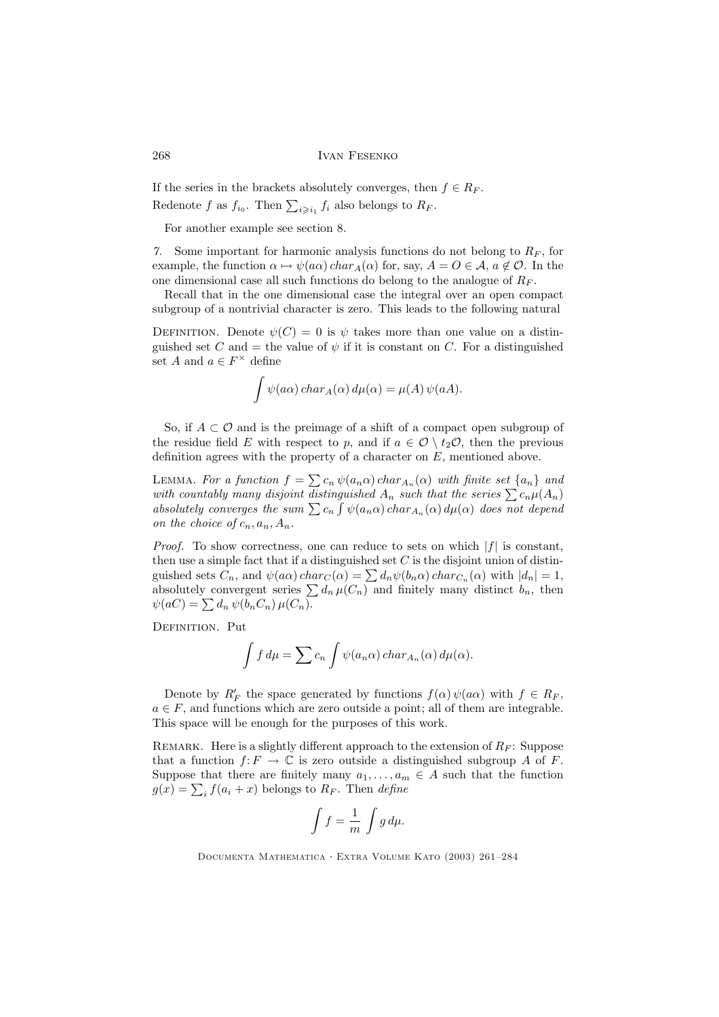If the series in the brackets absolutely converges, then  $f \in R_F$ . Redenote f as  $f_{i_0}$ . Then  $\sum_{i \geq i_1} f_i$  also belongs to  $R_F$ .

For another example see section 8.

7. Some important for harmonic analysis functions do not belong to  $R_F$ , for example, the function  $\alpha \mapsto \psi(a\alpha)$  char<sub>A</sub>( $\alpha$ ) for, say,  $A = O \in \mathcal{A}$ ,  $a \notin \mathcal{O}$ . In the one dimensional case all such functions do belong to the analogue of  $R_F$ .

Recall that in the one dimensional case the integral over an open compact subgroup of a nontrivial character is zero. This leads to the following natural

DEFINITION. Denote  $\psi(C) = 0$  is  $\psi$  takes more than one value on a distinguished set C and = the value of  $\psi$  if it is constant on C. For a distinguished set A and  $a \in F^{\times}$  define

$$
\int \psi(a\alpha) \, char_A(\alpha) \, d\mu(\alpha) = \mu(A) \, \psi(aA).
$$

So, if  $A \subset \mathcal{O}$  and is the preimage of a shift of a compact open subgroup of the residue field E with respect to p, and if  $a \in \mathcal{O} \setminus t_2\mathcal{O}$ , then the previous definition agrees with the property of a character on E, mentioned above.

LEMMA. For a function  $f = \sum c_n \psi(a_n \alpha)$  char<sub>An</sub> $(\alpha)$  with finite set  $\{a_n\}$  and with countably many disjoint distinguished  $A_n$  such that the series  $\sum c_n \mu(A_n)$ absolutely converges the sum  $\sum c_n \int \psi(a_n \alpha) c_n \, d\mu(\alpha) d\mu(\alpha)$  does not depend on the choice of  $c_n, a_n, A_n$ .

*Proof.* To show correctness, one can reduce to sets on which  $|f|$  is constant, then use a simple fact that if a distinguished set  $C$  is the disjoint union of distinguished sets  $C_n$ , and  $\psi(a\alpha)$  char $C(\alpha) = \sum d_n \psi(b_n \alpha)$  char $C_n(\alpha)$  with  $|d_n| = 1$ , absolutely convergent series  $\sum d_n \mu(C_n)$  and finitely many distinct  $b_n$ , then  $\psi(aC) = \sum d_n \psi(b_nC_n) \mu(C_n).$ 

DEFINITION. Put

$$
\int f d\mu = \sum c_n \int \psi(a_n \alpha) \, char_{A_n}(\alpha) \, d\mu(\alpha).
$$

Denote by  $R'_F$  the space generated by functions  $f(\alpha)\psi(a\alpha)$  with  $f \in R_F$ ,  $a \in F$ , and functions which are zero outside a point; all of them are integrable. This space will be enough for the purposes of this work.

REMARK. Here is a slightly different approach to the extension of  $R_F$ : Suppose that a function  $f: F \to \mathbb{C}$  is zero outside a distinguished subgroup A of F. Suppose that there are finitely many  $a_1, \ldots, a_m \in A$  such that the function  $g(x) = \sum_i f(a_i + x)$  belongs to  $R_F$ . Then *define* 

$$
\int f = \frac{1}{m} \int g \, d\mu.
$$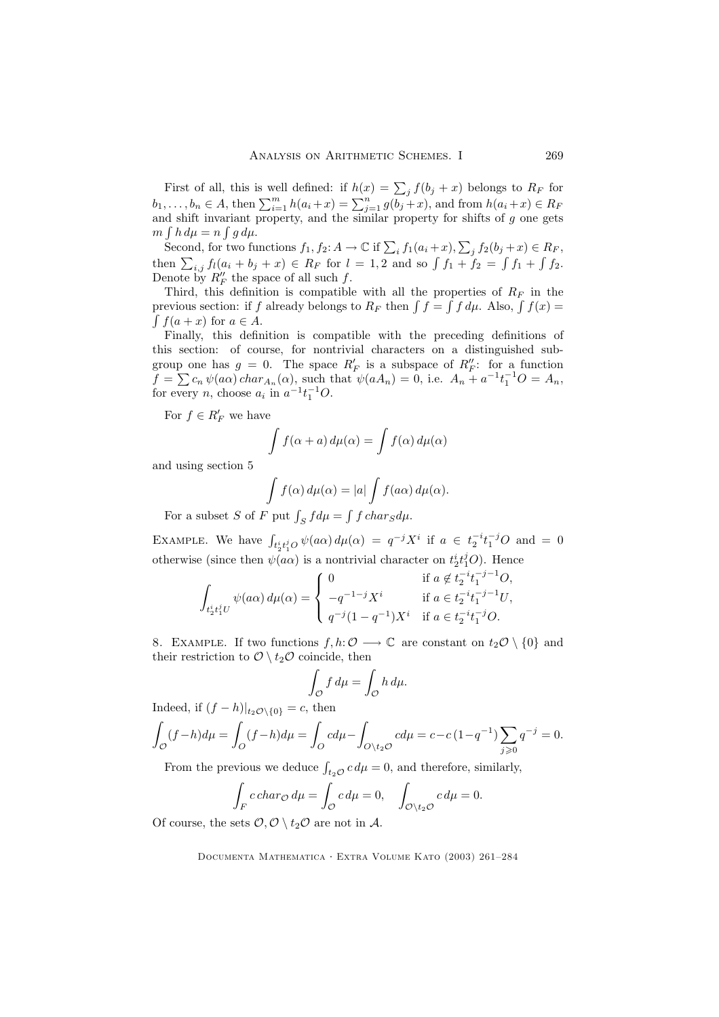First of all, this is well defined: if  $h(x) = \sum_j f(b_j + x)$  belongs to  $R_F$  for  $b_1, \ldots, b_n \in A$ , then  $\sum_{i=1}^m h(a_i + x) = \sum_{j=1}^n g(b_j + x)$ , and from  $h(a_i + x) \in R_F$ and shift invariant property, and the similar property for shifts of  $g$  one gets  $m \int h \, d\mu = n \int g \, d\mu.$ 

Second, for two functions  $f_1, f_2: A \to \mathbb{C}$  if  $\sum_i f_1(a_i+x), \sum_j f_2(b_j+x) \in R_F$ , then  $\sum_{i,j} f_l(a_i + b_j + x) \in R_F$  for  $l = 1, 2$  and so  $\int f_1 + f_2 = \int f_1 + \int f_2$ . Denote by  $R_F''$  the space of all such f.

Third, this definition is compatible with all the properties of  $R_F$  in the previous section: if f already belongs to  $R_F$  then  $\int f = \int f d\mu$ . Also,  $\int f(x) =$  $\int f(a+x)$  for  $a \in A$ .

Finally, this definition is compatible with the preceding definitions of this section: of course, for nontrivial characters on a distinguished subgroup one has  $g = 0$ . The space  $R'_F$  is a subspace of  $R''_F$ : for a function  $f = \sum c_n \psi(a\alpha) \, char_{A_n}(\alpha)$ , such that  $\psi(aA_n) = 0$ , i.e.  $A_n + a^{-1}t_1^{-1}O = A_n$ , for every *n*, choose  $a_i$  in  $a^{-1}t_1^{-1}O$ .

For  $f \in R'_F$  we have

$$
\int f(\alpha + a) d\mu(\alpha) = \int f(\alpha) d\mu(\alpha)
$$

and using section 5

$$
\int f(\alpha) d\mu(\alpha) = |a| \int f(a\alpha) d\mu(\alpha).
$$

For a subset S of F put  $\int_S f d\mu = \int f \, char_S d\mu$ .

EXAMPLE. We have  $\int_{t_2^i t_1^j O} \psi(a\alpha) d\mu(\alpha) = q^{-j} X^i$  if  $a \in t_2^{-i} t_1^{-j} O$  and  $= 0$ otherwise (since then  $\psi(a\alpha)$  is a nontrivial character on  $t_2^i t_1^j O$ ). Hence

$$
\int_{t_2^i t_1^j U} \psi(a\alpha) d\mu(\alpha) = \begin{cases}\n0 & \text{if } a \notin t_2^{-i} t_1^{-j-1} O, \\
-q^{-1-j} X^i & \text{if } a \in t_2^{-i} t_1^{-j-1} U, \\
q^{-j} (1-q^{-1}) X^i & \text{if } a \in t_2^{-i} t_1^{-j} O.\n\end{cases}
$$

8. EXAMPLE. If two functions  $f, h: \mathcal{O} \longrightarrow \mathbb{C}$  are constant on  $t_2 \mathcal{O} \setminus \{0\}$  and their restriction to  $\mathcal{O} \setminus t_2\mathcal{O}$  coincide, then

$$
\int_{\mathcal{O}} f \, d\mu = \int_{\mathcal{O}} h \, d\mu.
$$

Indeed, if  $(f - h)|_{t_2O\setminus\{0\}} = c$ , then

$$
\int_{\mathcal{O}} (f - h) d\mu = \int_{\mathcal{O}} (f - h) d\mu = \int_{\mathcal{O}} c d\mu - \int_{\mathcal{O} \setminus t_2 \mathcal{O}} c d\mu = c - c (1 - q^{-1}) \sum_{j \ge 0} q^{-j} = 0.
$$

From the previous we deduce  $\int_{t_2\mathcal{O}} c d\mu = 0$ , and therefore, similarly,

$$
\int_F c \, char_{\mathcal{O}} d\mu = \int_{\mathcal{O}} c \, d\mu = 0, \quad \int_{\mathcal{O} \backslash t_2 \mathcal{O}} c \, d\mu = 0.
$$

Of course, the sets  $\mathcal{O}, \mathcal{O} \setminus t_2\mathcal{O}$  are not in A.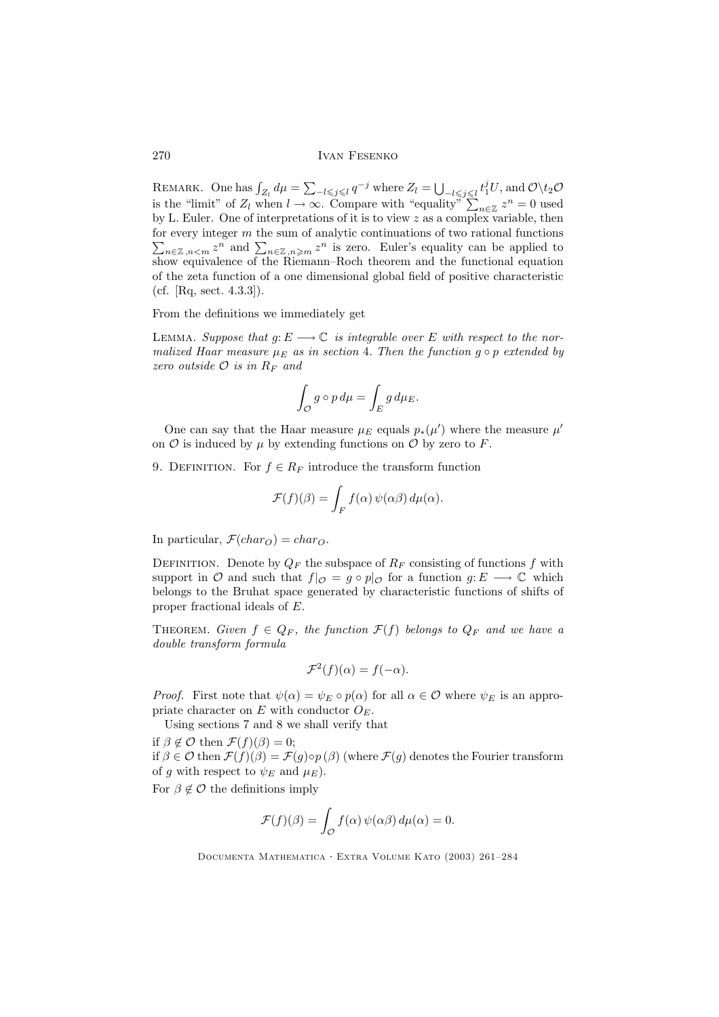REMARK. One has  $\int_{Z_l} d\mu = \sum_{-l \leqslant j \leqslant l} q^{-j}$  where  $Z_l = \bigcup_{-l \leqslant j \leqslant l} t_1^j U$ , and  $\mathcal{O} \setminus t_2 \mathcal{O}$ is the "limit" of  $Z_l$  when  $l \to \infty$ . Compare with "equality"  $\sum_{n \in \mathbb{Z}} z^n = 0$  used by L. Euler. One of interpretations of it is to view  $z$  as a complex variable, then  $\sum_{n\in\mathbb{Z}}\sum_{n\leq m}z^n$  and  $\sum_{n\in\mathbb{Z}}\sum_{n\geq m}z^n$  is zero. Euler's equality can be applied to for every integer  $m$  the sum of analytic continuations of two rational functions show equivalence of the Riemann–Roch theorem and the functional equation of the zeta function of a one dimensional global field of positive characteristic (cf. [Rq, sect.  $4.3.3$ ]).

From the definitions we immediately get

LEMMA. Suppose that  $g: E \longrightarrow \mathbb{C}$  is integrable over E with respect to the normalized Haar measure  $\mu_E$  as in section 4. Then the function  $g \circ p$  extended by zero outside  $\mathcal O$  is in  $R_F$  and

$$
\int_{\mathcal{O}} g\circ p\,d\mu = \int_E g\,d\mu_E.
$$

One can say that the Haar measure  $\mu_E$  equals  $p_*(\mu')$  where the measure  $\mu'$ on  $\mathcal O$  is induced by  $\mu$  by extending functions on  $\mathcal O$  by zero to F.

9. DEFINITION. For  $f \in R_F$  introduce the transform function

$$
\mathcal{F}(f)(\beta) = \int_F f(\alpha) \psi(\alpha \beta) d\mu(\alpha).
$$

In particular,  $\mathcal{F}(char_{\Omega}) = char_{\Omega}$ .

DEFINITION. Denote by  $Q_F$  the subspace of  $R_F$  consisting of functions f with support in  $\mathcal O$  and such that  $f|_{\mathcal O} = g \circ p|_{\mathcal O}$  for a function  $g: E \longrightarrow \mathbb C$  which belongs to the Bruhat space generated by characteristic functions of shifts of proper fractional ideals of E.

THEOREM. Given  $f \in Q_F$ , the function  $\mathcal{F}(f)$  belongs to  $Q_F$  and we have a double transform formula

$$
\mathcal{F}^2(f)(\alpha) = f(-\alpha).
$$

*Proof.* First note that  $\psi(\alpha) = \psi_E \circ p(\alpha)$  for all  $\alpha \in \mathcal{O}$  where  $\psi_E$  is an appropriate character on E with conductor  $O_E$ .

Using sections 7 and 8 we shall verify that

if  $\beta \notin \mathcal{O}$  then  $\mathcal{F}(f)(\beta) = 0$ ; if  $\beta \in \mathcal{O}$  then  $\mathcal{F}(f)(\beta) = \mathcal{F}(g) \circ p(\beta)$  (where  $\mathcal{F}(g)$  denotes the Fourier transform of g with respect to  $\psi_E$  and  $\mu_E$ ).

For  $\beta \notin \mathcal{O}$  the definitions imply

$$
\mathcal{F}(f)(\beta) = \int_{\mathcal{O}} f(\alpha) \psi(\alpha \beta) d\mu(\alpha) = 0.
$$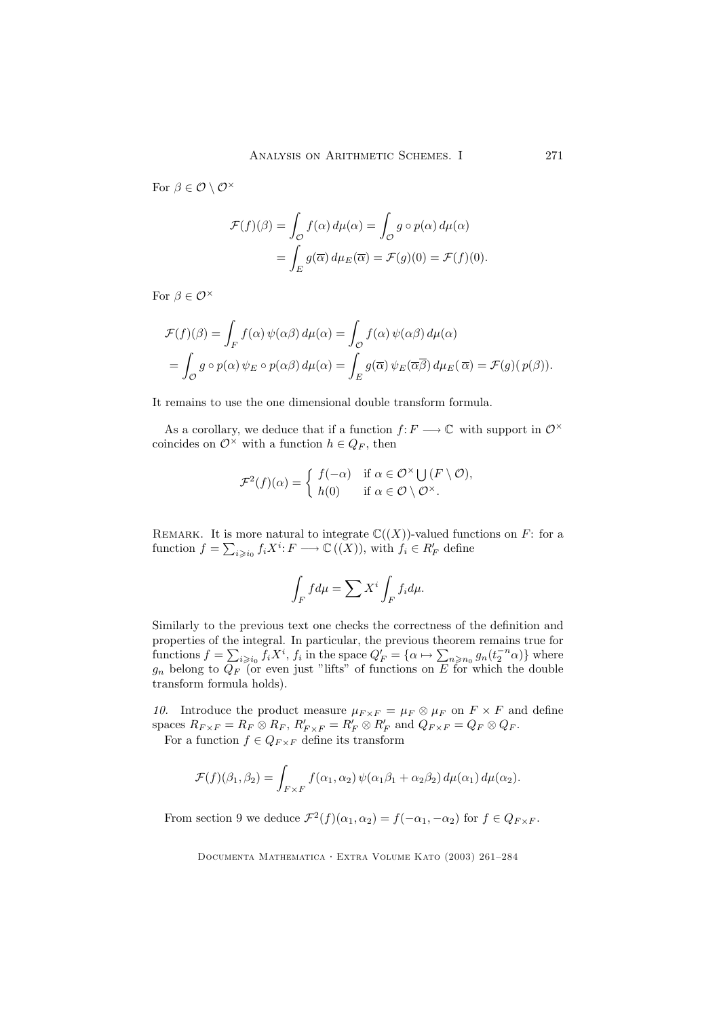For  $\beta \in \mathcal{O} \setminus \mathcal{O}^{\times}$ 

$$
\mathcal{F}(f)(\beta) = \int_{\mathcal{O}} f(\alpha) d\mu(\alpha) = \int_{\mathcal{O}} g \circ p(\alpha) d\mu(\alpha)
$$

$$
= \int_{E} g(\overline{\alpha}) d\mu_{E}(\overline{\alpha}) = \mathcal{F}(g)(0) = \mathcal{F}(f)(0).
$$

For  $\beta \in \mathcal{O}^\times$ 

$$
\mathcal{F}(f)(\beta) = \int_{F} f(\alpha) \psi(\alpha \beta) d\mu(\alpha) = \int_{\mathcal{O}} f(\alpha) \psi(\alpha \beta) d\mu(\alpha)
$$
  
= 
$$
\int_{\mathcal{O}} g \circ p(\alpha) \psi_{E} \circ p(\alpha \beta) d\mu(\alpha) = \int_{E} g(\overline{\alpha}) \psi_{E}(\overline{\alpha \beta}) d\mu_{E}(\overline{\alpha}) = \mathcal{F}(g)(p(\beta)).
$$

It remains to use the one dimensional double transform formula.

As a corollary, we deduce that if a function  $f: F \longrightarrow \mathbb{C}$  with support in  $\mathcal{O}^{\times}$ coincides on  $\mathcal{O}^{\times}$  with a function  $h \in Q_F$ , then

$$
\mathcal{F}^2(f)(\alpha) = \begin{cases} f(-\alpha) & \text{if } \alpha \in \mathcal{O}^\times \bigcup (F \setminus \mathcal{O}), \\ h(0) & \text{if } \alpha \in \mathcal{O} \setminus \mathcal{O}^\times. \end{cases}
$$

REMARK. It is more natural to integrate  $\mathbb{C}((X))$ -valued functions on F: for a function  $f = \sum_{i \geq i_0} f_i X^i$ :  $F \longrightarrow \mathbb{C}((X))$ , with  $f_i \in R'_F$  define

$$
\int_F f d\mu = \sum X^i \int_F f_i d\mu.
$$

Similarly to the previous text one checks the correctness of the definition and properties of the integral. In particular, the previous theorem remains true for functions  $f = \sum_{i \geq i_0} \bar{f}_i X^i$ ,  $f_i$  in the space  $Q'_F = {\alpha \mapsto \sum_{n \geq n_0} g_n(t_2^{-n} \alpha)}$  where  $g_n$  belong to  $Q_F$  (or even just "lifts" of functions on E for which the double transform formula holds).

10. Introduce the product measure  $\mu_{F \times F} = \mu_F \otimes \mu_F$  on  $F \times F$  and define spaces  $R_{F \times F} = R_F \otimes R_F$ ,  $R'_{F \times F} = R'_F \otimes R'_F$  and  $Q_{F \times F} = Q_F \otimes Q_F$ .

For a function  $f \in Q_{F \times F}$  define its transform

$$
\mathcal{F}(f)(\beta_1, \beta_2) = \int_{F \times F} f(\alpha_1, \alpha_2) \psi(\alpha_1 \beta_1 + \alpha_2 \beta_2) d\mu(\alpha_1) d\mu(\alpha_2).
$$

From section 9 we deduce  $\mathcal{F}^2(f)(\alpha_1,\alpha_2) = f(-\alpha_1,-\alpha_2)$  for  $f \in Q_{F \times F}$ .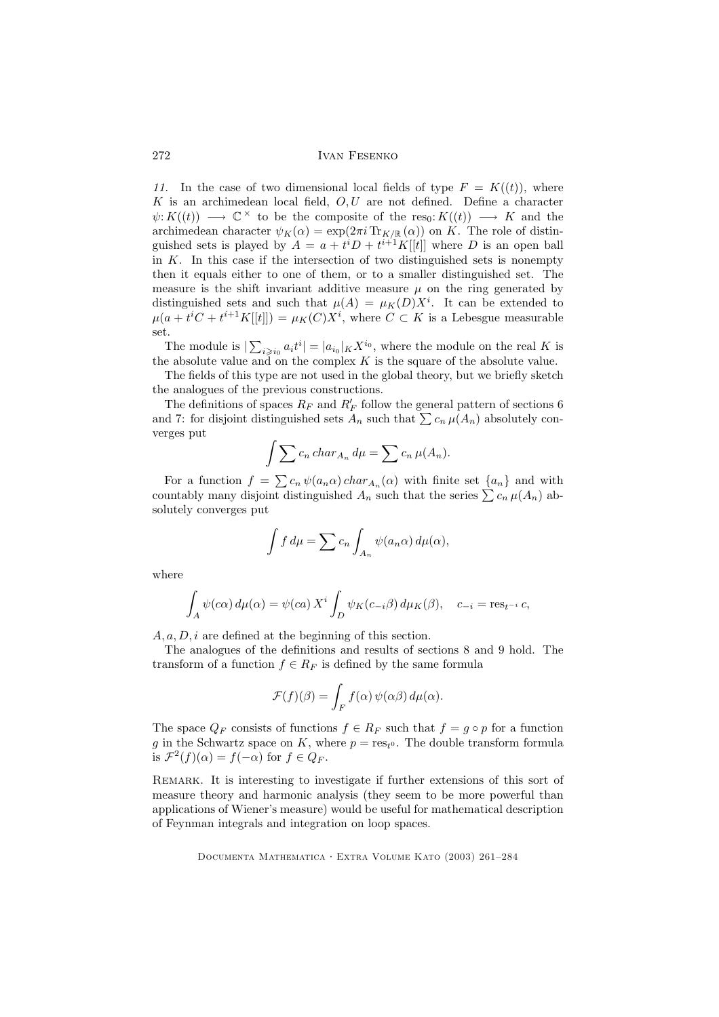11. In the case of two dimensional local fields of type  $F = K((t))$ , where  $K$  is an archimedean local field,  $O, U$  are not defined. Define a character  $\psi: K((t)) \longrightarrow \mathbb{C}^{\times}$  to be the composite of the res<sub>0</sub>:  $K((t)) \longrightarrow K$  and the archimedean character  $\psi_K(\alpha) = \exp(2\pi i \operatorname{Tr}_{K/\mathbb{R}}(\alpha))$  on K. The role of distinguished sets is played by  $A = a + t^i D + t^{i+1} K[[t]]$  where D is an open ball in  $K$ . In this case if the intersection of two distinguished sets is nonempty then it equals either to one of them, or to a smaller distinguished set. The measure is the shift invariant additive measure  $\mu$  on the ring generated by distinguished sets and such that  $\mu(A) = \mu_K(D)X^i$ . It can be extended to  $\mu(a + t^i C + t^{i+1} K[[t]]) = \mu_K(C) X^i$ , where  $C \subset K$  is a Lebesgue measurable set.

The module is  $|\sum_{i\geqslant i_0} a_i t^i| = |a_{i_0}|_K X^{i_0}$ , where the module on the real K is the absolute value and on the complex  $K$  is the square of the absolute value.

The fields of this type are not used in the global theory, but we briefly sketch the analogues of the previous constructions.

The definitions of spaces  $R_F$  and  $R'_F$  follow the general pattern of sections 6 and 7: for disjoint distinguished sets  $A_n$  such that  $\sum c_n \mu(A_n)$  absolutely converges put

$$
\int \sum c_n \, char_{A_n} \, d\mu = \sum c_n \, \mu(A_n).
$$

For a function  $f = \sum c_n \psi(a_n \alpha) \text{ char}_{A_n}(\alpha)$  with finite set  $\{a_n\}$  and with countably many disjoint distinguished  $A_n$  such that the series  $\sum c_n \mu(A_n)$  absolutely converges put

$$
\int f d\mu = \sum c_n \int_{A_n} \psi(a_n \alpha) d\mu(\alpha),
$$

where

$$
\int_A \psi(c\alpha) d\mu(\alpha) = \psi(ca) X^i \int_D \psi_K(c_{-i}\beta) d\mu_K(\beta), \quad c_{-i} = \text{res}_{t^{-i}} c,
$$

 $A, a, D, i$  are defined at the beginning of this section.

The analogues of the definitions and results of sections 8 and 9 hold. The transform of a function  $f \in R_F$  is defined by the same formula

$$
\mathcal{F}(f)(\beta) = \int_F f(\alpha) \psi(\alpha \beta) d\mu(\alpha).
$$

The space  $Q_F$  consists of functions  $f \in R_F$  such that  $f = q \circ p$  for a function g in the Schwartz space on K, where  $p = \text{res}_{t^0}$ . The double transform formula is  $\mathcal{F}^2(f)(\alpha) = f(-\alpha)$  for  $f \in Q_F$ .

REMARK. It is interesting to investigate if further extensions of this sort of measure theory and harmonic analysis (they seem to be more powerful than applications of Wiener's measure) would be useful for mathematical description of Feynman integrals and integration on loop spaces.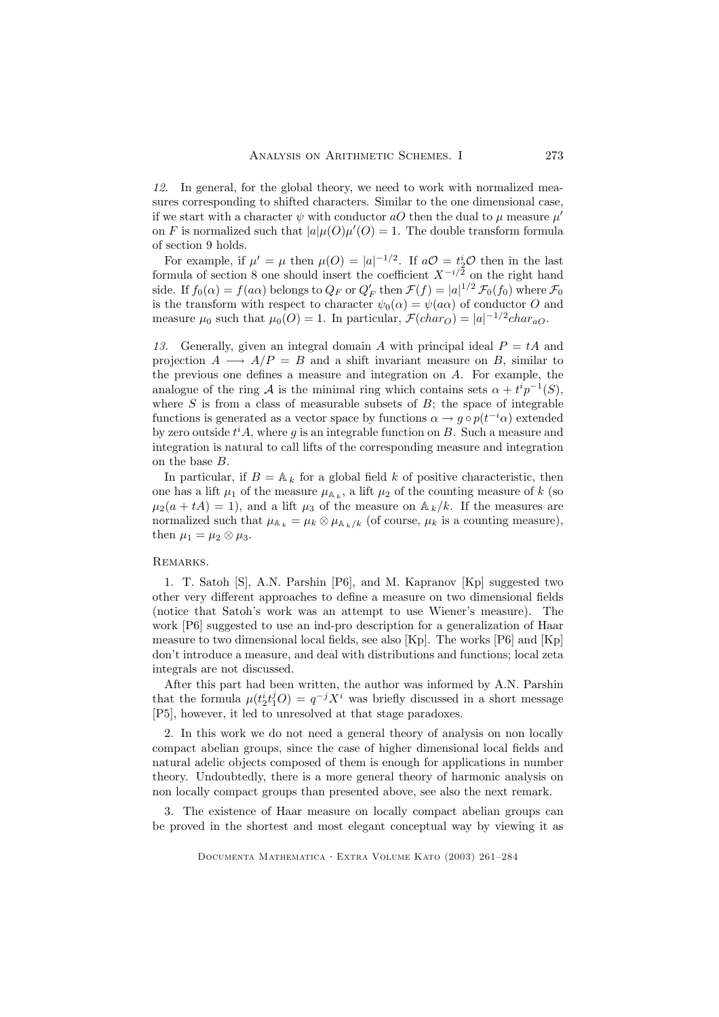12. In general, for the global theory, we need to work with normalized measures corresponding to shifted characters. Similar to the one dimensional case, if we start with a character  $\psi$  with conductor aO then the dual to  $\mu$  measure  $\mu'$ on F is normalized such that  $|a|\mu(O)\mu'(O) = 1$ . The double transform formula of section 9 holds.

For example, if  $\mu' = \mu$  then  $\mu(O) = |a|^{-1/2}$ . If  $aO = t_2^i O$  then in the last formula of section 8 one should insert the coefficient  $X^{-i/2}$  on the right hand side. If  $f_0(\alpha) = f(a\alpha)$  belongs to  $Q_F$  or  $Q'_F$  then  $\mathcal{F}(f) = |a|^{1/2} \mathcal{F}_0(f_0)$  where  $\mathcal{F}_0$ is the transform with respect to character  $\psi_0(\alpha) = \psi(\alpha \alpha)$  of conductor O and measure  $\mu_0$  such that  $\mu_0(O) = 1$ . In particular,  $\mathcal{F}(char_O) = |a|^{-1/2}char_{aO}$ .

13. Generally, given an integral domain A with principal ideal  $P = tA$  and projection  $A \longrightarrow A/P = B$  and a shift invariant measure on B, similar to the previous one defines a measure and integration on A. For example, the analogue of the ring A is the minimal ring which contains sets  $\alpha + t^i p^{-1}(S)$ , where  $S$  is from a class of measurable subsets of  $B$ ; the space of integrable functions is generated as a vector space by functions  $\alpha \to g \circ p(t^{-i}\alpha)$  extended by zero outside  $t<sup>i</sup>A$ , where g is an integrable function on B. Such a measure and integration is natural to call lifts of the corresponding measure and integration on the base B.

In particular, if  $B = \mathbb{A}_k$  for a global field k of positive characteristic, then one has a lift  $\mu_1$  of the measure  $\mu_{A_k}$ , a lift  $\mu_2$  of the counting measure of k (so  $\mu_2(a + tA) = 1$ , and a lift  $\mu_3$  of the measure on  $\mathbb{A}_k/k$ . If the measures are normalized such that  $\mu_{\mathbb{A}_k} = \mu_k \otimes \mu_{\mathbb{A}_k/k}$  (of course,  $\mu_k$  is a counting measure), then  $\mu_1 = \mu_2 \otimes \mu_3$ .

### REMARKS.

1. T. Satoh [S], A.N. Parshin [P6], and M. Kapranov [Kp] suggested two other very different approaches to define a measure on two dimensional fields (notice that Satoh's work was an attempt to use Wiener's measure). The work [P6] suggested to use an ind-pro description for a generalization of Haar measure to two dimensional local fields, see also [Kp]. The works [P6] and [Kp] don't introduce a measure, and deal with distributions and functions; local zeta integrals are not discussed.

After this part had been written, the author was informed by A.N. Parshin that the formula  $\mu(t_2^i t_1^j O) = q^{-j} X^i$  was briefly discussed in a short message [P5], however, it led to unresolved at that stage paradoxes.

2. In this work we do not need a general theory of analysis on non locally compact abelian groups, since the case of higher dimensional local fields and natural adelic objects composed of them is enough for applications in number theory. Undoubtedly, there is a more general theory of harmonic analysis on non locally compact groups than presented above, see also the next remark.

3. The existence of Haar measure on locally compact abelian groups can be proved in the shortest and most elegant conceptual way by viewing it as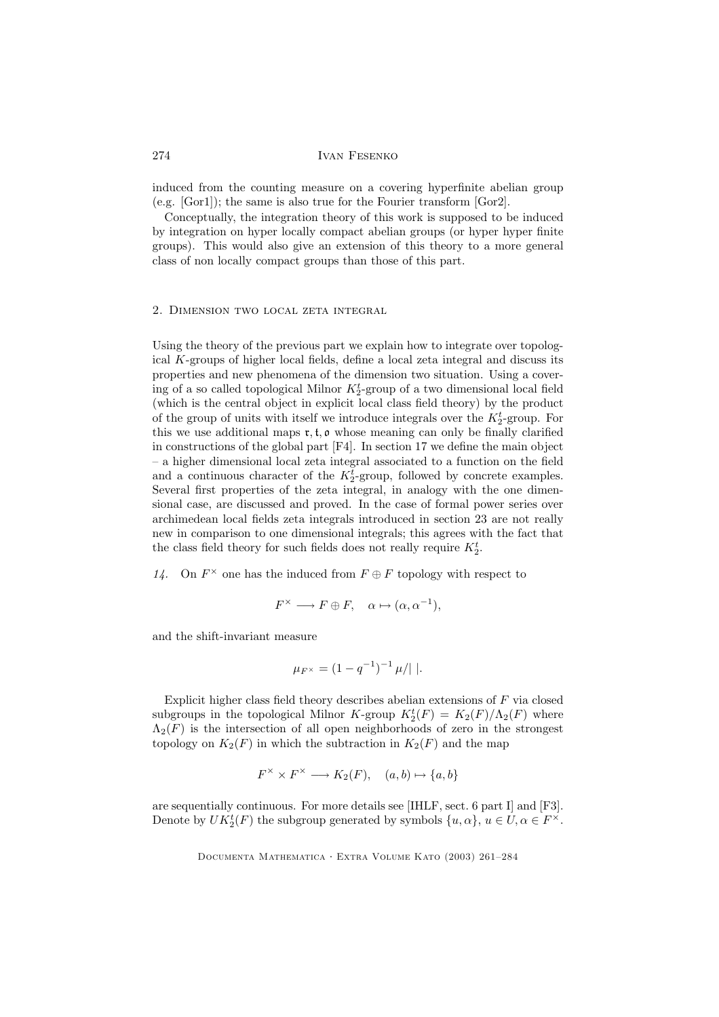induced from the counting measure on a covering hyperfinite abelian group (e.g. [Gor1]); the same is also true for the Fourier transform [Gor2].

Conceptually, the integration theory of this work is supposed to be induced by integration on hyper locally compact abelian groups (or hyper hyper finite groups). This would also give an extension of this theory to a more general class of non locally compact groups than those of this part.

### 2. Dimension two local zeta integral

Using the theory of the previous part we explain how to integrate over topological K-groups of higher local fields, define a local zeta integral and discuss its properties and new phenomena of the dimension two situation. Using a covering of a so called topological Milnor  $K_2^t$ -group of a two dimensional local field (which is the central object in explicit local class field theory) by the product of the group of units with itself we introduce integrals over the  $K_2^t$ -group. For this we use additional maps  $r, t, o$  whose meaning can only be finally clarified in constructions of the global part [F4]. In section 17 we define the main object – a higher dimensional local zeta integral associated to a function on the field and a continuous character of the  $K_2^t$ -group, followed by concrete examples. Several first properties of the zeta integral, in analogy with the one dimensional case, are discussed and proved. In the case of formal power series over archimedean local fields zeta integrals introduced in section 23 are not really new in comparison to one dimensional integrals; this agrees with the fact that the class field theory for such fields does not really require  $K_2^t$ .

14. On  $F^{\times}$  one has the induced from  $F \oplus F$  topology with respect to

$$
F^{\times} \longrightarrow F \oplus F, \quad \alpha \mapsto (\alpha, \alpha^{-1}),
$$

and the shift-invariant measure

$$
\mu_{F^{\times}} = (1 - q^{-1})^{-1} \mu / |\ .
$$

Explicit higher class field theory describes abelian extensions of  $F$  via closed subgroups in the topological Milnor K-group  $K_2^t(F) = K_2(F)/\Lambda_2(F)$  where  $\Lambda_2(F)$  is the intersection of all open neighborhoods of zero in the strongest topology on  $K_2(F)$  in which the subtraction in  $K_2(F)$  and the map

$$
F^\times \times F^\times \longrightarrow K_2(F), \quad (a, b) \mapsto \{a, b\}
$$

are sequentially continuous. For more details see [IHLF, sect. 6 part I] and [F3]. Denote by  $UK_2^t(F)$  the subgroup generated by symbols  $\{u, \alpha\}$ ,  $u \in U$ ,  $\alpha \in F^{\times}$ .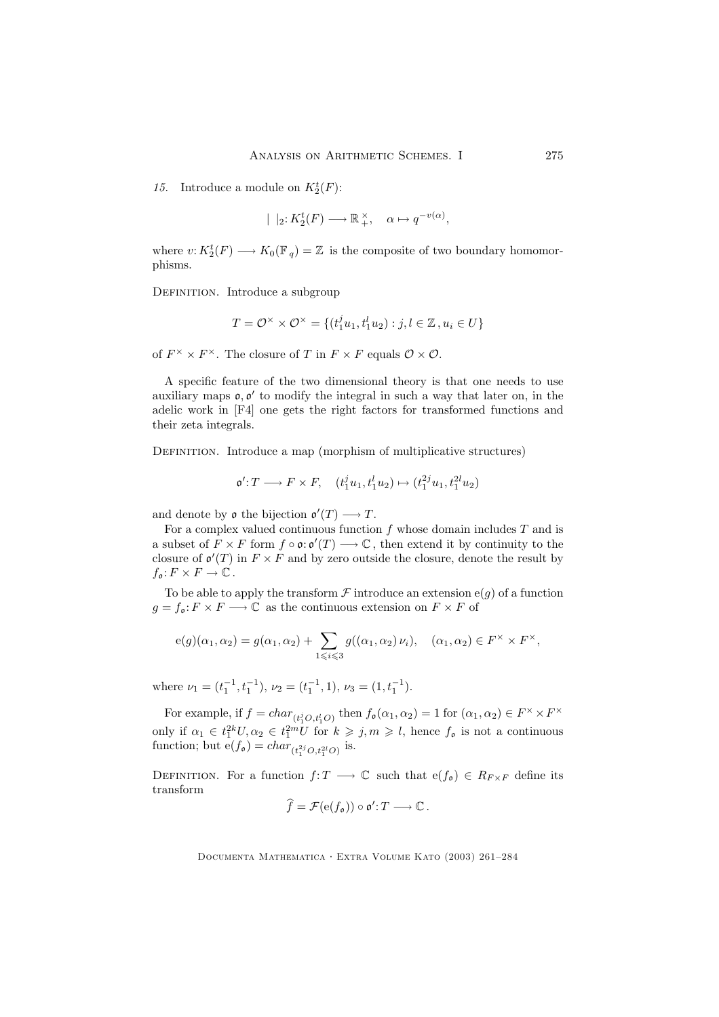15. Introduce a module on  $K_2^t(F)$ :

$$
| |_{2}: K_{2}^{t}(F) \longrightarrow \mathbb{R}_{+}^{\times}, \quad \alpha \mapsto q^{-v(\alpha)},
$$

where  $v: K_2^t(F) \longrightarrow K_0(\mathbb{F}_q) = \mathbb{Z}$  is the composite of two boundary homomorphisms.

DEFINITION. Introduce a subgroup

$$
T = \mathcal{O}^{\times} \times \mathcal{O}^{\times} = \{ (t_1^j u_1, t_1^l u_2) : j, l \in \mathbb{Z}, u_i \in U \}
$$

of  $F^{\times} \times F^{\times}$ . The closure of T in  $F \times F$  equals  $\mathcal{O} \times \mathcal{O}$ .

A specific feature of the two dimensional theory is that one needs to use auxiliary maps  $o, o'$  to modify the integral in such a way that later on, in the adelic work in [F4] one gets the right factors for transformed functions and their zeta integrals.

DEFINITION. Introduce a map (morphism of multiplicative structures)

$$
\mathfrak{o}'\colon T \longrightarrow F \times F, \quad (t_1^j u_1, t_1^l u_2) \longmapsto (t_1^{2j} u_1, t_1^{2l} u_2)
$$

and denote by  $\mathfrak{o}$  the bijection  $\mathfrak{o}'(T) \longrightarrow T$ .

For a complex valued continuous function  $f$  whose domain includes  $T$  and is a subset of  $F \times F$  form  $f \circ \mathfrak{o}: \mathfrak{o}'(T) \longrightarrow \mathbb{C}$ , then extend it by continuity to the closure of  $\mathfrak{o}'(T)$  in  $F \times F$  and by zero outside the closure, denote the result by  $f_{\mathfrak{o}}: F \times F \to \mathbb{C}$ .

To be able to apply the transform  $\mathcal F$  introduce an extension e(g) of a function  $g = f_o: F \times F \longrightarrow \mathbb{C}$  as the continuous extension on  $F \times F$  of

$$
e(g)(\alpha_1, \alpha_2) = g(\alpha_1, \alpha_2) + \sum_{1 \leq i \leq 3} g((\alpha_1, \alpha_2) \nu_i), \quad (\alpha_1, \alpha_2) \in F^\times \times F^\times,
$$

where  $\nu_1 = (t_1^{-1}, t_1^{-1}), \nu_2 = (t_1^{-1}, 1), \nu_3 = (1, t_1^{-1}).$ 

For example, if  $f = char_{(t_1^j O, t_1^l O)}$  then  $f_{\mathfrak{o}}(\alpha_1, \alpha_2) = 1$  for  $(\alpha_1, \alpha_2) \in F^{\times} \times F^{\times}$ only if  $\alpha_1 \in t_1^{2k}U, \alpha_2 \in t_1^{2m}U$  for  $k \geq j, m \geq l$ , hence  $f_0$  is not a continuous function; but  $e(f_{\mathfrak{o}}) = char_{(t_1^{2j}O, t_1^{2l}O)}$  is.

DEFINITION. For a function  $f: T \longrightarrow \mathbb{C}$  such that  $e(f_0) \in R_{F \times F}$  define its transform

$$
\widehat{f} = \mathcal{F}(\mathbf{e}(f_{\mathfrak{o}})) \circ \mathfrak{o}' : T \longrightarrow \mathbb{C}.
$$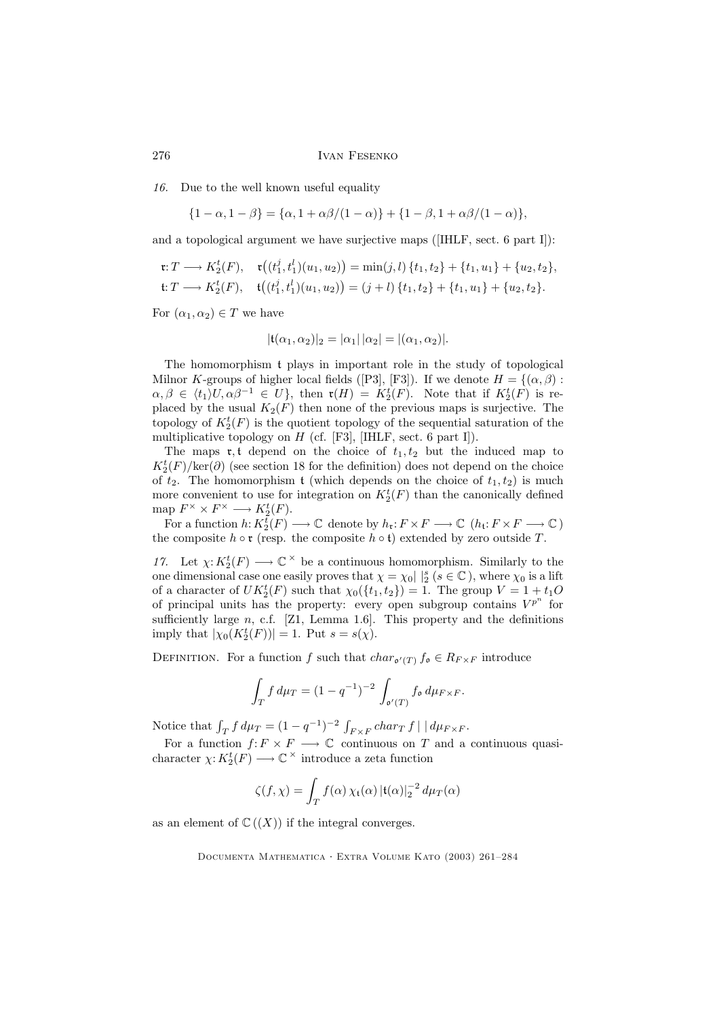16. Due to the well known useful equality

 ${1 - \alpha, 1 - \beta} = {\alpha, 1 + \alpha\beta/(1 - \alpha)} + {1 - \beta, 1 + \alpha\beta/(1 - \alpha)},$ 

and a topological argument we have surjective maps ([IHLF, sect. 6 part I]):

$$
\mathfrak{r}: T \longrightarrow K_2^t(F), \quad \mathfrak{r}((t_1^j, t_1^l)(u_1, u_2)) = \min(j, l) \{t_1, t_2\} + \{t_1, u_1\} + \{u_2, t_2\},
$$
  

$$
\mathfrak{t}: T \longrightarrow K_2^t(F), \quad \mathfrak{t}((t_1^j, t_1^l)(u_1, u_2)) = (j + l) \{t_1, t_2\} + \{t_1, u_1\} + \{u_2, t_2\}.
$$

For  $(\alpha_1, \alpha_2) \in T$  we have

$$
|\mathfrak{t}(\alpha_1,\alpha_2)|_2 = |\alpha_1| |\alpha_2| = |(\alpha_1,\alpha_2)|.
$$

The homomorphism t plays in important role in the study of topological Milnor K-groups of higher local fields ([P3], [F3]). If we denote  $H = \{(\alpha, \beta) :$  $\alpha, \beta \in \langle t_1 \rangle U, \alpha \beta^{-1} \in U \},\$  then  $\mathfrak{r}(H) = K_2^t(F)$ . Note that if  $K_2^t(F)$  is replaced by the usual  $K_2(F)$  then none of the previous maps is surjective. The topology of  $K_2^t(F)$  is the quotient topology of the sequential saturation of the multiplicative topology on  $H$  (cf. [F3], [IHLF, sect. 6 part I]).

The maps  $\mathfrak{r},\mathfrak{t}$  depend on the choice of  $t_1, t_2$  but the induced map to  $K_2^t(F)/\text{ker}(\partial)$  (see section 18 for the definition) does not depend on the choice of  $t_2$ . The homomorphism t (which depends on the choice of  $t_1, t_2$ ) is much more convenient to use for integration on  $K_2^t(F)$  than the canonically defined map  $F^{\times} \times F^{\times} \longrightarrow K_2^t(F)$ .

For a function  $h: K_2^t(F) \longrightarrow \mathbb{C}$  denote by  $h_{\mathfrak{r}}: F \times F \longrightarrow \mathbb{C}$   $(h_{\mathfrak{t}}: F \times F \longrightarrow \mathbb{C})$ the composite  $h \circ \mathfrak{r}$  (resp. the composite  $h \circ \mathfrak{t}$ ) extended by zero outside T.

17. Let  $\chi: K_2^t(F) \longrightarrow \mathbb{C}^\times$  be a continuous homomorphism. Similarly to the one dimensional case one easily proves that  $\chi = \chi_0 | \; |_2^s$  ( $s \in \mathbb{C}$ ), where  $\chi_0$  is a lift of a character of  $UK_2^t(F)$  such that  $\chi_0({t_1,t_2}) = 1$ . The group  $V = 1 + t_1O$ of principal units has the property: every open subgroup contains  $V^{p^n}$  for sufficiently large  $n$ , c.f. [Z1, Lemma 1.6]. This property and the definitions imply that  $|\chi_0(K_2^t(F))| = 1$ . Put  $s = s(\chi)$ .

DEFINITION. For a function f such that  $char_{\mathfrak{a}'(T)} f_{\mathfrak{g}} \in R_{F \times F}$  introduce

$$
\int_T f \, d\mu_T = (1 - q^{-1})^{-2} \, \int_{\mathfrak{o}'(T)} f_{\mathfrak{o}} \, d\mu_{F \times F}.
$$

Notice that  $\int_T f d\mu_T = (1 - q^{-1})^{-2} \int_{F \times F} char_T f \mid | d\mu_{F \times F}.$ 

For a function  $f: F \times F \longrightarrow \mathbb{C}$  continuous on T and a continuous quasicharacter  $\chi: K_2^t(F) \longrightarrow \mathbb{C}^\times$  introduce a zeta function

$$
\zeta(f,\chi) = \int_T f(\alpha) \,\chi_t(\alpha) \, |t(\alpha)|_2^{-2} \, d\mu_T(\alpha)
$$

as an element of  $\mathbb{C}((X))$  if the integral converges.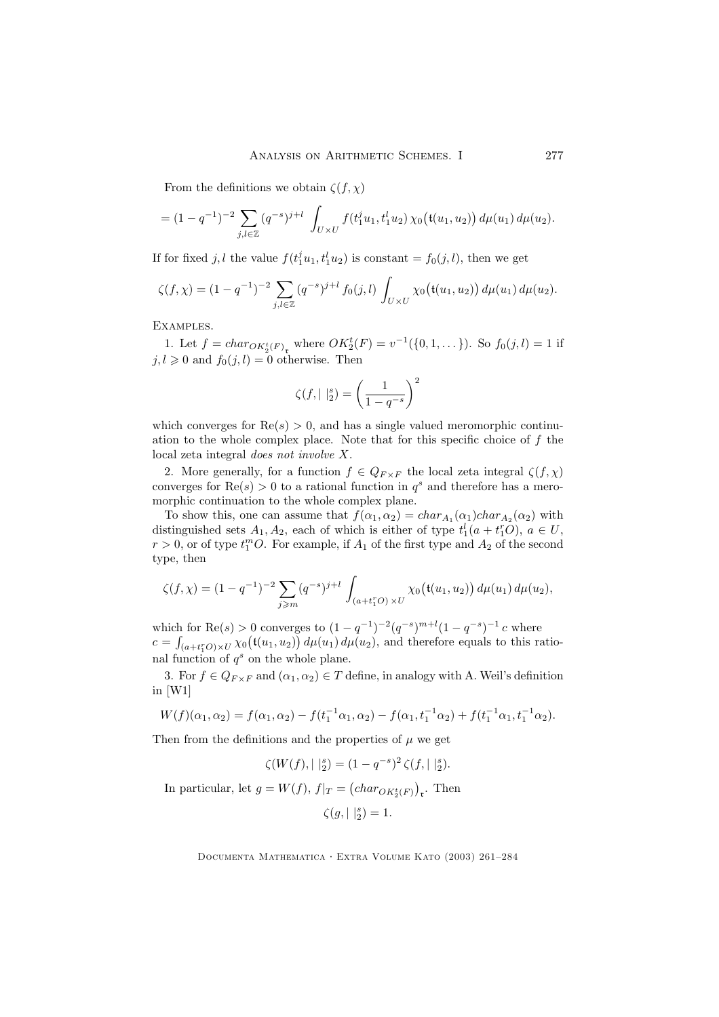From the definitions we obtain  $\zeta(f, \chi)$ 

$$
= (1 - q^{-1})^{-2} \sum_{j,l \in \mathbb{Z}} (q^{-s})^{j+l} \int_{U \times U} f(t_1^j u_1, t_1^l u_2) \chi_0(\mathfrak{t}(u_1, u_2)) d\mu(u_1) d\mu(u_2).
$$

If for fixed j, l the value  $f(t_1^j u_1, t_1^l u_2)$  is constant  $= f_0(j, l)$ , then we get

$$
\zeta(f,\chi) = (1-q^{-1})^{-2} \sum_{j,l \in \mathbb{Z}} (q^{-s})^{j+l} f_0(j,l) \int_{U \times U} \chi_0(\mathfrak{t}(u_1,u_2)) d\mu(u_1) d\mu(u_2).
$$

Examples.

1. Let  $f = char_{OK_2^t(F)}$ , where  $OK_2^t(F) = v^{-1}(\{0, 1, \dots\})$ . So  $f_0(j, l) = 1$  if  $j, l \geq 0$  and  $f_0(j, l) = 0$  otherwise. Then

$$
\zeta(f, | \; |_{2}^{s}) = \left(\frac{1}{1 - q^{-s}}\right)^{2}
$$

which converges for  $\text{Re}(s) > 0$ , and has a single valued meromorphic continuation to the whole complex place. Note that for this specific choice of f the local zeta integral does not involve X.

2. More generally, for a function  $f \in Q_{F \times F}$  the local zeta integral  $\zeta(f, \chi)$ converges for  $\text{Re}(s) > 0$  to a rational function in  $q^s$  and therefore has a meromorphic continuation to the whole complex plane.

To show this, one can assume that  $f(\alpha_1, \alpha_2) = char_{A_1}(\alpha_1) char_{A_2}(\alpha_2)$  with distinguished sets  $A_1, A_2$ , each of which is either of type  $t_1^l(a+t_1^rO)$ ,  $a \in U$ ,  $r > 0$ , or of type  $t_1^m O$ . For example, if  $A_1$  of the first type and  $A_2$  of the second type, then

$$
\zeta(f,\chi)=(1-q^{-1})^{-2}\sum_{j\geqslant m}(q^{-s})^{j+l}\int_{(a+t_1^rO)\times U}\chi_0\bigl(\mathfrak{t}(u_1,u_2)\bigr)\,d\mu(u_1)\,d\mu(u_2),
$$

which for Re(s) > 0 converges to  $(1 - q^{-1})^{-2}(q^{-s})^{m+l}(1 - q^{-s})^{-1}$  c where  $c = \int_{(a+t_1^r O)\times U} \chi_0(\mathfrak{t}(u_1, u_2)) d\mu(u_1) d\mu(u_2)$ , and therefore equals to this rational function of  $q^s$  on the whole plane.

3. For  $f \in Q_{F \times F}$  and  $(\alpha_1, \alpha_2) \in T$  define, in analogy with A. Weil's definition in [W1]

$$
W(f)(\alpha_1, \alpha_2) = f(\alpha_1, \alpha_2) - f(t_1^{-1}\alpha_1, \alpha_2) - f(\alpha_1, t_1^{-1}\alpha_2) + f(t_1^{-1}\alpha_1, t_1^{-1}\alpha_2).
$$

Then from the definitions and the properties of  $\mu$  we get

$$
\zeta(W(f), \mid \mid_2^s) = (1 - q^{-s})^2 \zeta(f, \mid \mid_2^s).
$$

In particular, let  $g = W(f)$ ,  $f|_T = (char_{OK_2^t(F)})_r$ . Then

$$
\zeta(g,|\ |_2^s) = 1.
$$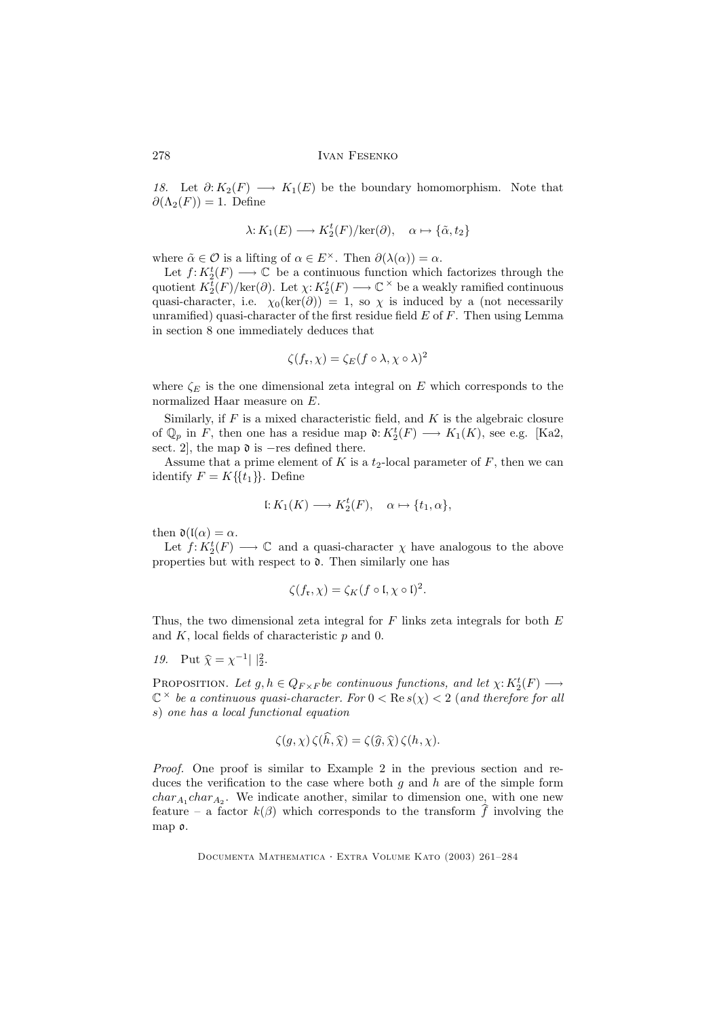18. Let  $\partial: K_2(F) \longrightarrow K_1(E)$  be the boundary homomorphism. Note that  $\partial(\Lambda_2(F)) = 1$ . Define

$$
\lambda: K_1(E) \longrightarrow K_2^t(F)/\text{ker}(\partial), \quad \alpha \mapsto \{\tilde{\alpha}, t_2\}
$$

where  $\tilde{\alpha} \in \mathcal{O}$  is a lifting of  $\alpha \in E^{\times}$ . Then  $\partial(\lambda(\alpha)) = \alpha$ .

Let  $f: K_2^t(F) \longrightarrow \mathbb{C}$  be a continuous function which factorizes through the quotient  $K_2^{\overline{t}}(F)/\text{ker}(\partial)$ . Let  $\chi: K_2^{\overline{t}}(F) \longrightarrow \mathbb{C}^\times$  be a weakly ramified continuous quasi-character, i.e.  $\chi_0(\ker(\partial)) = 1$ , so  $\chi$  is induced by a (not necessarily unramified) quasi-character of the first residue field  $E$  of  $F$ . Then using Lemma in section 8 one immediately deduces that

$$
\zeta(f_{\mathfrak{r}}, \chi) = \zeta_E(f \circ \lambda, \chi \circ \lambda)^2
$$

where  $\zeta_E$  is the one dimensional zeta integral on E which corresponds to the normalized Haar measure on E.

Similarly, if  $F$  is a mixed characteristic field, and  $K$  is the algebraic closure of  $\mathbb{Q}_p$  in F, then one has a residue map  $\mathfrak{d}: K_2^t(F) \longrightarrow K_1(K)$ , see e.g. [Ka2, sect. 2], the map  $\mathfrak d$  is  $-$ res defined there.

Assume that a prime element of K is a  $t_2$ -local parameter of F, then we can identify  $F = K({t_1})$ . Define

$$
I: K_1(K) \longrightarrow K_2^t(F), \quad \alpha \mapsto \{t_1, \alpha\},\
$$

then  $\mathfrak{d}(\mathfrak{l}(\alpha)) = \alpha$ .

Let  $f: K_2^t(F) \longrightarrow \mathbb{C}$  and a quasi-character  $\chi$  have analogous to the above properties but with respect to  $\mathfrak d$ . Then similarly one has

$$
\zeta(f_{\mathfrak{r}}, \chi) = \zeta_K(f \circ \mathfrak{l}, \chi \circ \mathfrak{l})^2.
$$

Thus, the two dimensional zeta integral for  $F$  links zeta integrals for both  $E$ and  $K$ , local fields of characteristic  $p$  and 0.

19. Put  $\hat{\chi} = \chi^{-1} ||_2^2$ .

PROPOSITION. Let  $g, h \in Q_{F \times F}$  be continuous functions, and let  $\chi: K_2^t(F) \longrightarrow$  $\mathbb{C}^\times$  be a continuous quasi-character. For  $0 < \text{Re } s(\chi) < 2$  (and therefore for all s) one has a local functional equation

$$
\zeta(g,\chi)\,\zeta(\widehat{h},\widehat{\chi})=\zeta(\widehat{g},\widehat{\chi})\,\zeta(h,\chi).
$$

Proof. One proof is similar to Example 2 in the previous section and reduces the verification to the case where both  $g$  and  $h$  are of the simple form  $char_{A_1}char_{A_2}$ . We indicate another, similar to dimension one, with one new feature – a factor  $k(\beta)$  which corresponds to the transform  $\hat{f}$  involving the map o.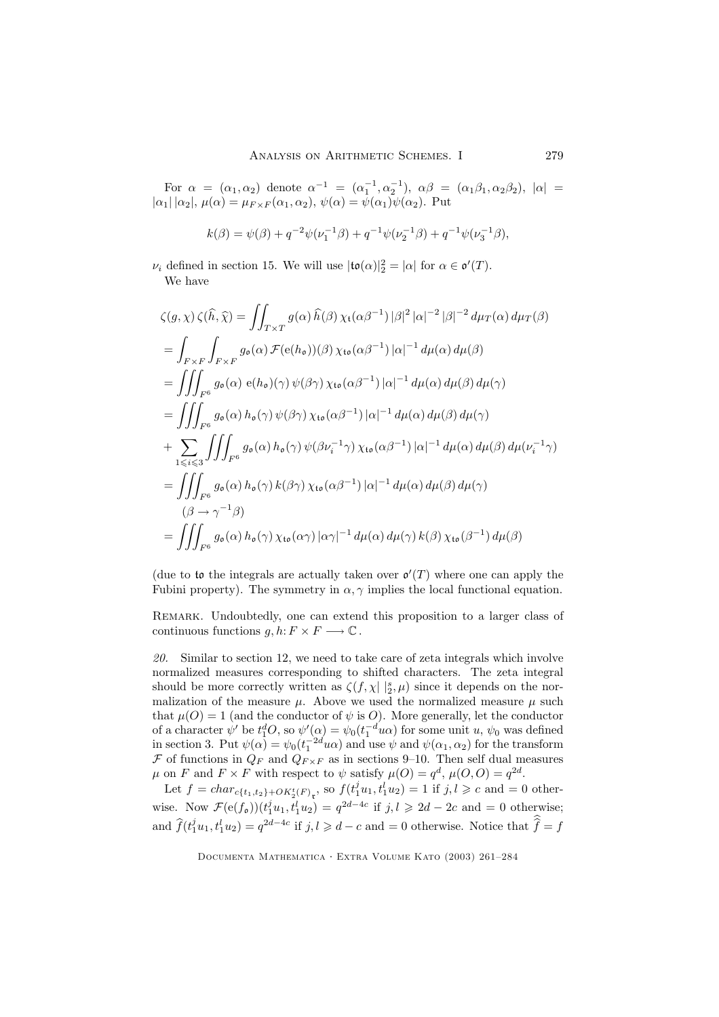For  $\alpha = (\alpha_1, \alpha_2)$  denote  $\alpha^{-1} = (\alpha_1^{-1}, \alpha_2^{-1}), \alpha \beta = (\alpha_1 \beta_1, \alpha_2 \beta_2), |\alpha| =$  $|\alpha_1| \, |\alpha_2|, \, \mu(\alpha) = \mu_{F \times F}(\alpha_1, \alpha_2), \, \psi(\alpha) = \psi(\alpha_1)\psi(\alpha_2).$  Put

$$
k(\beta) = \psi(\beta) + q^{-2}\psi(\nu_1^{-1}\beta) + q^{-1}\psi(\nu_2^{-1}\beta) + q^{-1}\psi(\nu_3^{-1}\beta),
$$

 $\nu_i$  defined in section 15. We will use  $|\mathbf{to}(\alpha)|_2^2 = |\alpha|$  for  $\alpha \in \mathfrak{o}'(T)$ . We have

$$
\zeta(g,\chi)\zeta(\hat{h},\hat{\chi}) = \iint_{T\times T} g(\alpha)\,\hat{h}(\beta)\,\chi_{\mathfrak{t}}(\alpha\beta^{-1})\,|\beta|^2\,|\alpha|^{-2}\,|\beta|^{-2}\,d\mu_T(\alpha)\,d\mu_T(\beta)
$$
  
\n
$$
= \int_{F\times F} \int_{F\times F} g_{\mathfrak{o}}(\alpha)\,\mathcal{F}(\mathbf{e}(h_{\mathfrak{o}}))(\beta)\,\chi_{\mathfrak{t}\mathfrak{o}}(\alpha\beta^{-1})\,|\alpha|^{-1}\,d\mu(\alpha)\,d\mu(\beta)
$$
  
\n
$$
= \iiint_{F^6} g_{\mathfrak{o}}(\alpha)\,\mathbf{e}(h_{\mathfrak{o}})(\gamma)\,\psi(\beta\gamma)\,\chi_{\mathfrak{t}\mathfrak{o}}(\alpha\beta^{-1})\,|\alpha|^{-1}\,d\mu(\alpha)\,d\mu(\beta)\,d\mu(\gamma)
$$
  
\n
$$
= \iiint_{F^6} g_{\mathfrak{o}}(\alpha)\,h_{\mathfrak{o}}(\gamma)\,\psi(\beta\gamma)\,\chi_{\mathfrak{t}\mathfrak{o}}(\alpha\beta^{-1})\,|\alpha|^{-1}\,d\mu(\alpha)\,d\mu(\beta)\,d\mu(\gamma)
$$
  
\n
$$
+ \sum_{1 \leq i \leq 3} \iiint_{F^6} g_{\mathfrak{o}}(\alpha)\,h_{\mathfrak{o}}(\gamma)\,\psi(\beta\nu_i^{-1}\gamma)\,\chi_{\mathfrak{t}\mathfrak{o}}(\alpha\beta^{-1})\,|\alpha|^{-1}\,d\mu(\alpha)\,d\mu(\beta)\,d\mu(\nu_i^{-1}\gamma)
$$
  
\n
$$
= \iiint_{F^6} g_{\mathfrak{o}}(\alpha)\,h_{\mathfrak{o}}(\gamma)\,k(\beta\gamma)\,\chi_{\mathfrak{t}\mathfrak{o}}(\alpha\beta^{-1})\,|\alpha|^{-1}\,d\mu(\alpha)\,d\mu(\beta)\,d\mu(\gamma)
$$
  
\n
$$
(\beta \to \gamma^{-1}\beta)
$$
  
\n
$$
= \iiint_{F^6} g_{\mathfrak{o}}(\alpha)\,h_{\mathfrak{o}}(\gamma)\,\chi_{\mathfrak{t}\mathfrak{o}}(\alpha\gamma)\,|\alpha\gamma|^{-1}\,d\mu(\alpha)\,d\mu(\gamma)\,k(\beta)\,\chi_{\mathfrak{t}\math
$$

(due to to the integrals are actually taken over  $\mathfrak{o}'(T)$  where one can apply the Fubini property). The symmetry in  $\alpha$ ,  $\gamma$  implies the local functional equation.

REMARK. Undoubtedly, one can extend this proposition to a larger class of continuous functions  $q, h: F \times F \longrightarrow \mathbb{C}$ .

20. Similar to section 12, we need to take care of zeta integrals which involve normalized measures corresponding to shifted characters. The zeta integral should be more correctly written as  $\zeta(f, \chi | \; |_{2}, \mu)$  since it depends on the normalization of the measure  $\mu$ . Above we used the normalized measure  $\mu$  such that  $\mu(O) = 1$  (and the conductor of  $\psi$  is O). More generally, let the conductor of a character  $\psi'$  be  $t_1^dO$ , so  $\psi'(\alpha) = \psi_0(t_1^{-d}u\alpha)$  for some unit  $u, \psi_0$  was defined in section 3. Put  $\psi(\alpha) = \psi_0(t_1^{-2d}u\alpha)$  and use  $\psi$  and  $\psi(\alpha_1, \alpha_2)$  for the transform F of functions in  $Q_F$  and  $Q_{F \times F}$  as in sections 9–10. Then self dual measures  $\mu$  on F and  $F \times F$  with respect to  $\psi$  satisfy  $\mu(O) = q^d$ ,  $\mu(O, O) = q^{2d}$ .

Let  $f = char_{c\{t_1, t_2\} + OK_2^t(F)_{\mathbf{r}}},$  so  $f(t_1^j u_1, t_1^l u_2) = 1$  if  $j, l \geq c$  and  $= 0$  otherwise. Now  $\mathcal{F}(e(f_{\mathfrak{0}}))(t_1^j u_1, t_1^l u_2) = q^{2d-4c}$  if  $j, l \geq 2d - 2c$  and  $= 0$  otherwise; and  $\hat{f}(t_1^j u_1, t_1^l u_2) = q^{2d-4c}$  if  $j, l \geq d-c$  and  $= 0$  otherwise. Notice that  $\hat{f} = f$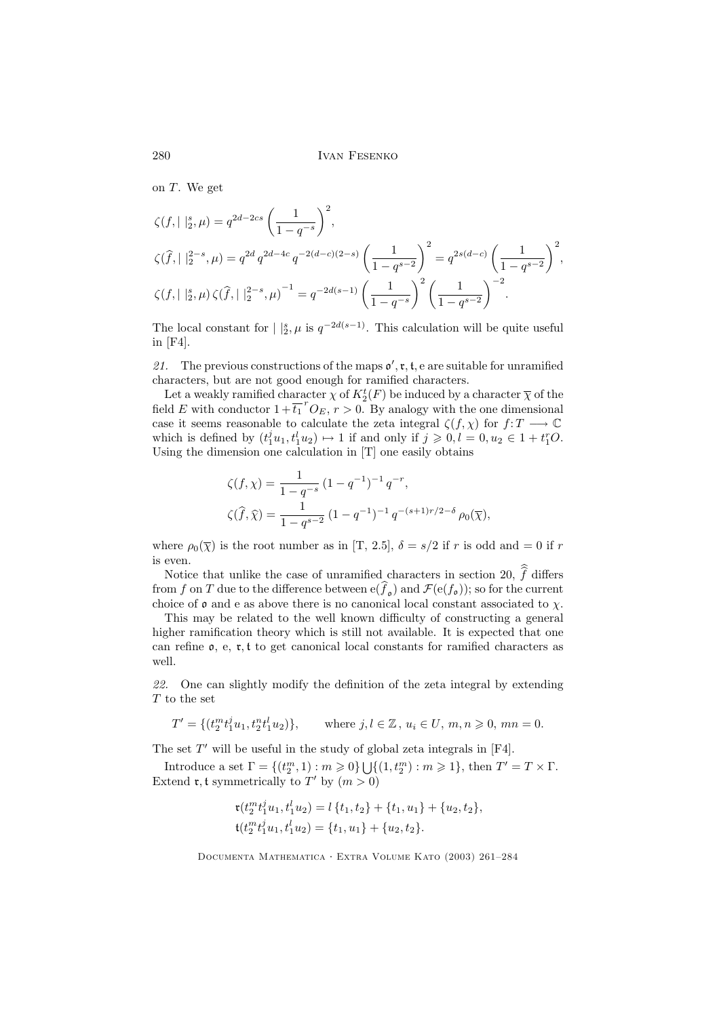on T. We get

$$
\zeta(f, \mid \mid_{2}^{s}, \mu) = q^{2d - 2cs} \left( \frac{1}{1 - q^{-s}} \right)^{2},
$$
  

$$
\zeta(\widehat{f}, \mid \mid_{2}^{2-s}, \mu) = q^{2d} q^{2d - 4c} q^{-2(d - c)(2 - s)} \left( \frac{1}{1 - q^{s - 2}} \right)^{2} = q^{2s(d - c)} \left( \frac{1}{1 - q^{s - 2}} \right)^{2},
$$
  

$$
\zeta(f, \mid \mid_{2}^{s}, \mu) \zeta(\widehat{f}, \mid \mid_{2}^{2-s}, \mu)^{-1} = q^{-2d(s - 1)} \left( \frac{1}{1 - q^{-s}} \right)^{2} \left( \frac{1}{1 - q^{s - 2}} \right)^{-2}.
$$

The local constant for  $| \cdot |_2^s$ ,  $\mu$  is  $q^{-2d(s-1)}$ . This calculation will be quite useful in [F4].

21. The previous constructions of the maps  $\mathfrak{o}'$ ,  $\mathfrak{r}$ ,  $\mathfrak{t}$ ,  $\mathfrak{e}$  are suitable for unramified characters, but are not good enough for ramified characters.

Let a weakly ramified character  $\chi$  of  $K_2^t(F)$  be induced by a character  $\overline{\chi}$  of the field E with conductor  $1 + \overline{t_1}^T O_E$ ,  $r > 0$ . By analogy with the one dimensional case it seems reasonable to calculate the zeta integral  $\zeta(f,\chi)$  for  $f: T \longrightarrow \mathbb{C}$ which is defined by  $(t_1^j u_1, t_1^l u_2) \mapsto 1$  if and only if  $j \geqslant 0, l = 0, u_2 \in 1 + t_1^r O$ . Using the dimension one calculation in [T] one easily obtains

$$
\begin{aligned} \zeta(f,\chi) &= \frac{1}{1-q^{-s}} \left(1-q^{-1}\right)^{-1} q^{-r}, \\ \zeta(\widehat{f},\widehat{\chi}) &= \frac{1}{1-q^{s-2}} \left(1-q^{-1}\right)^{-1} q^{-(s+1)r/2-\delta} \rho_0(\overline{\chi}), \end{aligned}
$$

where  $\rho_0(\overline{\chi})$  is the root number as in [T, 2.5],  $\delta = s/2$  if r is odd and  $= 0$  if r is even.

Notice that unlike the case of unramified characters in section 20,  $f$  differs from f on T due to the difference between  $e(f_o)$  and  $\mathcal{F}(e(f_o))$ ; so for the current choice of  $\mathfrak o$  and e as above there is no canonical local constant associated to  $\chi$ .

This may be related to the well known difficulty of constructing a general higher ramification theory which is still not available. It is expected that one can refine  $\mathfrak{o}, \mathfrak{e}, \mathfrak{r}, \mathfrak{t}$  to get canonical local constants for ramified characters as well.

22. One can slightly modify the definition of the zeta integral by extending T to the set

$$
T' = \{ (t_2^m t_1^j u_1, t_2^n t_1^l u_2) \}, \qquad \text{where } j, l \in \mathbb{Z}, \ u_i \in U, \ m, n \geq 0, \ mn = 0.
$$

The set  $T'$  will be useful in the study of global zeta integrals in [F4].

Introduce a set  $\Gamma = \{(t_2^m, 1) : m \geq 0\} \cup \{(1, t_2^m) : m \geq 1\}$ , then  $T' = T \times \Gamma$ . Extend **r**, **t** symmetrically to T' by  $(m > 0)$ 

$$
\mathfrak{r}(t_2^m t_1^j u_1, t_1^l u_2) = l \{t_1, t_2\} + \{t_1, u_1\} + \{u_2, t_2\},
$$
  

$$
\mathfrak{t}(t_2^m t_1^j u_1, t_1^l u_2) = \{t_1, u_1\} + \{u_2, t_2\}.
$$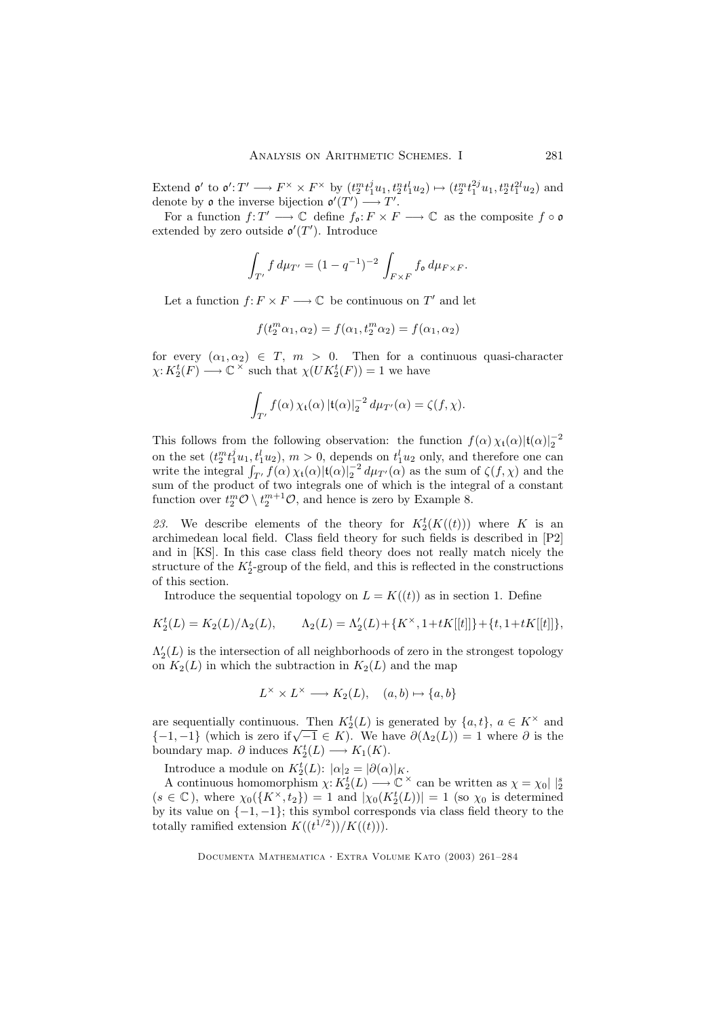Extend  $\mathfrak{o}'$  to  $\mathfrak{o}' : T' \longrightarrow F^{\times} \times F^{\times}$  by  $(t_2^m t_1^j u_1, t_2^n t_1^l u_2) \mapsto (t_2^m t_1^j u_1, t_2^n t_1^l u_2)$  and denote by  $\mathfrak o$  the inverse bijection  $\mathfrak o'(T') \longrightarrow T'.$ 

For a function  $f: T' \longrightarrow \mathbb{C}$  define  $f_{\mathfrak{o}}: F \times F \longrightarrow \mathbb{C}$  as the composite  $f \circ \mathfrak{o}$ extended by zero outside  $\mathfrak{o}'(T')$ . Introduce

$$
\int_{T'} f \, d\mu_{T'} = (1 - q^{-1})^{-2} \int_{F \times F} f_{\mathfrak{o}} \, d\mu_{F \times F}.
$$

Let a function  $f: F \times F \longrightarrow \mathbb{C}$  be continuous on  $T'$  and let

$$
f(t_2^m\alpha_1,\alpha_2) = f(\alpha_1, t_2^m\alpha_2) = f(\alpha_1, \alpha_2)
$$

for every  $(\alpha_1, \alpha_2) \in T$ ,  $m > 0$ . Then for a continuous quasi-character  $\chi: K_2^t(F) \longrightarrow \mathbb{C}^\times$  such that  $\chi(UK_2^t(F)) = 1$  we have

$$
\int_{T'} f(\alpha) \,\chi_{\mathfrak{t}}(\alpha) \,|\mathfrak{t}(\alpha)|_2^{-2} \,d\mu_{T'}(\alpha) = \zeta(f,\chi).
$$

This follows from the following observation: the function  $f(\alpha) \chi_t(\alpha) |t(\alpha)|_2^{-2}$ on the set  $(t_2^m t_1^j u_1, t_1^l u_2), m > 0$ , depends on  $t_1^l u_2$  only, and therefore one can write the integral  $\int_{T'} f(\alpha) \chi_t(\alpha) |t(\alpha)|_2^{-2} d\mu_{T'}(\alpha)$  as the sum of  $\zeta(f, \chi)$  and the sum of the product of two integrals one of which is the integral of a constant function over  $t_2^m \mathcal{O} \setminus t_2^{m+1} \mathcal{O}$ , and hence is zero by Example 8.

23. We describe elements of the theory for  $K_2^t(K((t)))$  where K is an archimedean local field. Class field theory for such fields is described in [P2] and in [KS]. In this case class field theory does not really match nicely the structure of the  $K_2^t$ -group of the field, and this is reflected in the constructions of this section.

Introduce the sequential topology on  $L = K((t))$  as in section 1. Define

$$
K_2^t(L) = K_2(L)/\Lambda_2(L), \qquad \Lambda_2(L) = \Lambda_2'(L) + \{K^\times, 1 + tK[[t]]\} + \{t, 1 + tK[[t]]\},
$$

 $\Lambda_2'(L)$  is the intersection of all neighborhoods of zero in the strongest topology on  $K_2(L)$  in which the subtraction in  $K_2(L)$  and the map

$$
L^\times \times L^\times \longrightarrow K_2(L), \quad (a,b) \mapsto \{a,b\}
$$

are sequentially continuous. Then  $K_2^t(L)$  is generated by  $\{a, t\}$ ,  $a \in K^\times$  and  ${-1,-1}$  (which is zero if  $\sqrt{-1} \in K$ ). We have  $\partial(\Lambda_2(L)) = 1$  where  $\partial$  is the boundary map.  $\partial$  induces  $K_2^t(L) \longrightarrow K_1(K)$ .

Introduce a module on  $K_2^t(L)$ :  $|\alpha|_2 = |\partial(\alpha)|_K$ .

A continuous homomorphism  $\chi: K_2^t(L) \longrightarrow \mathbb{C}^\times$  can be written as  $\chi = \chi_0 | \begin{bmatrix} s \\ 2 \end{bmatrix}$  $(s \in \mathbb{C})$ , where  $\chi_0(\lbrace K^\times, t_2 \rbrace) = 1$  and  $|\chi_0(K_2^t(L))| = 1$  (so  $\chi_0$  is determined by its value on  $\{-1, -1\}$ ; this symbol corresponds via class field theory to the totally ramified extension  $K((t^{1/2}))/K((t))$ .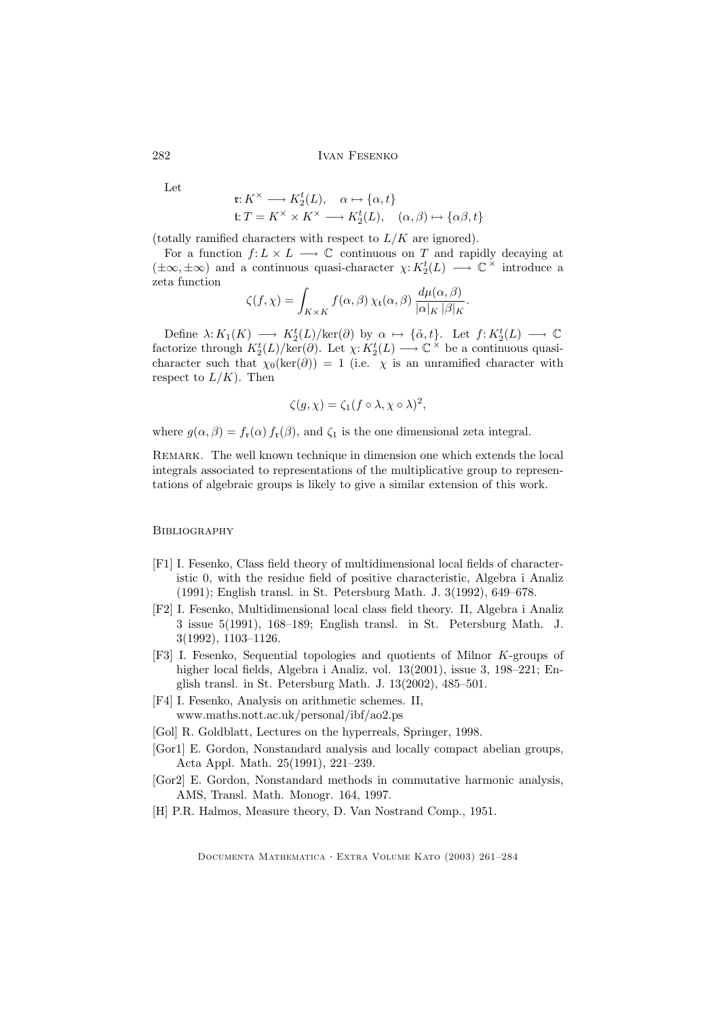Let

$$
\begin{aligned} \mathfrak{r}: K^\times &\longrightarrow K_2^t(L), \quad \alpha \mapsto \{\alpha, t\} \\ \mathfrak{t}: T &= K^\times \times K^\times \longrightarrow K_2^t(L), \quad (\alpha, \beta) \mapsto \{\alpha\beta, t\} \end{aligned}
$$

(totally ramified characters with respect to  $L/K$  are ignored).

For a function  $f: L \times L \longrightarrow \mathbb{C}$  continuous on T and rapidly decaying at  $(\pm \infty, \pm \infty)$  and a continuous quasi-character  $\chi: K_2^t(L) \longrightarrow \mathbb{C}^\times$  introduce a zeta function

$$
\zeta(f,\chi) = \int_{K \times K} f(\alpha,\beta) \, \chi_{\mathfrak{t}}(\alpha,\beta) \, \frac{d\mu(\alpha,\beta)}{|\alpha|_K \, |\beta|_K}.
$$

Define  $\lambda: K_1(K) \longrightarrow K_2^t(L)/\text{ker}(\partial)$  by  $\alpha \mapsto {\{\tilde{\alpha},t\}}$ . Let  $f: K_2^t(L) \longrightarrow \mathbb{C}$ factorize through  $K_2^t(L)/\text{ker}(\partial)$ . Let  $\chi: K_2^t(L) \longrightarrow \mathbb{C}^\times$  be a continuous quasicharacter such that  $\chi_0(\ker(\partial)) = 1$  (i.e.  $\chi$  is an unramified character with respect to  $L/K$ ). Then

$$
\zeta(g,\chi)=\zeta_1(f\circ\lambda,\chi\circ\lambda)^2,
$$

where  $g(\alpha, \beta) = f_{\mathfrak{r}}(\alpha) f_{\mathfrak{r}}(\beta)$ , and  $\zeta_1$  is the one dimensional zeta integral.

REMARK. The well known technique in dimension one which extends the local integrals associated to representations of the multiplicative group to representations of algebraic groups is likely to give a similar extension of this work.

### **BIBLIOGRAPHY**

- [F1] I. Fesenko, Class field theory of multidimensional local fields of characteristic 0, with the residue field of positive characteristic, Algebra i Analiz (1991); English transl. in St. Petersburg Math. J. 3(1992), 649–678.
- [F2] I. Fesenko, Multidimensional local class field theory. II, Algebra i Analiz 3 issue 5(1991), 168–189; English transl. in St. Petersburg Math. J. 3(1992), 1103–1126.
- [F3] I. Fesenko, Sequential topologies and quotients of Milnor K-groups of higher local fields, Algebra i Analiz, vol. 13(2001), issue 3, 198–221; English transl. in St. Petersburg Math. J. 13(2002), 485–501.
- [F4] I. Fesenko, Analysis on arithmetic schemes. II, www.maths.nott.ac.uk/personal/ibf/ao2.ps
- [Gol] R. Goldblatt, Lectures on the hyperreals, Springer, 1998.
- [Gor1] E. Gordon, Nonstandard analysis and locally compact abelian groups, Acta Appl. Math. 25(1991), 221–239.
- [Gor2] E. Gordon, Nonstandard methods in commutative harmonic analysis, AMS, Transl. Math. Monogr. 164, 1997.
- [H] P.R. Halmos, Measure theory, D. Van Nostrand Comp., 1951.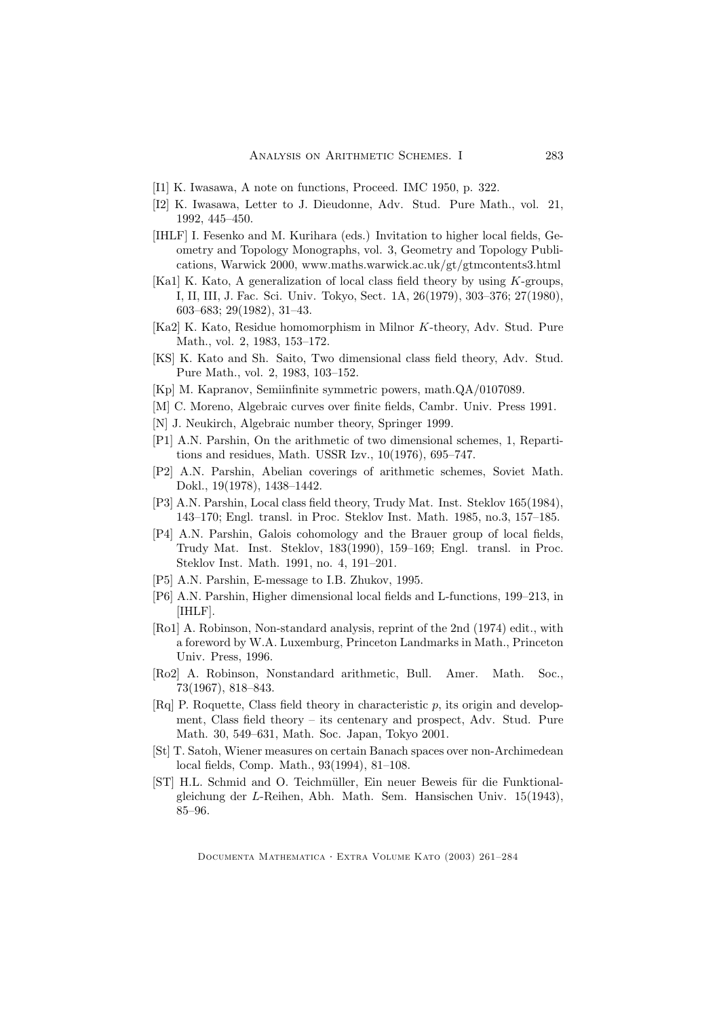- [I1] K. Iwasawa, A note on functions, Proceed. IMC 1950, p. 322.
- [I2] K. Iwasawa, Letter to J. Dieudonne, Adv. Stud. Pure Math., vol. 21, 1992, 445–450.
- [IHLF] I. Fesenko and M. Kurihara (eds.) Invitation to higher local fields, Geometry and Topology Monographs, vol. 3, Geometry and Topology Publications, Warwick 2000, www.maths.warwick.ac.uk/gt/gtmcontents3.html
- [Ka1] K. Kato, A generalization of local class field theory by using K-groups, I, II, III, J. Fac. Sci. Univ. Tokyo, Sect. 1A, 26(1979), 303–376; 27(1980), 603–683; 29(1982), 31–43.
- [Ka2] K. Kato, Residue homomorphism in Milnor K-theory, Adv. Stud. Pure Math., vol. 2, 1983, 153–172.
- [KS] K. Kato and Sh. Saito, Two dimensional class field theory, Adv. Stud. Pure Math., vol. 2, 1983, 103–152.
- [Kp] M. Kapranov, Semiinfinite symmetric powers, math.QA/0107089.
- [M] C. Moreno, Algebraic curves over finite fields, Cambr. Univ. Press 1991.
- [N] J. Neukirch, Algebraic number theory, Springer 1999.
- [P1] A.N. Parshin, On the arithmetic of two dimensional schemes, 1, Repartitions and residues, Math. USSR Izv., 10(1976), 695–747.
- [P2] A.N. Parshin, Abelian coverings of arithmetic schemes, Soviet Math. Dokl., 19(1978), 1438–1442.
- [P3] A.N. Parshin, Local class field theory, Trudy Mat. Inst. Steklov 165(1984), 143–170; Engl. transl. in Proc. Steklov Inst. Math. 1985, no.3, 157–185.
- [P4] A.N. Parshin, Galois cohomology and the Brauer group of local fields, Trudy Mat. Inst. Steklov, 183(1990), 159–169; Engl. transl. in Proc. Steklov Inst. Math. 1991, no. 4, 191–201.
- [P5] A.N. Parshin, E-message to I.B. Zhukov, 1995.
- [P6] A.N. Parshin, Higher dimensional local fields and L-functions, 199–213, in [IHLF].
- [Ro1] A. Robinson, Non-standard analysis, reprint of the 2nd (1974) edit., with a foreword by W.A. Luxemburg, Princeton Landmarks in Math., Princeton Univ. Press, 1996.
- [Ro2] A. Robinson, Nonstandard arithmetic, Bull. Amer. Math. Soc., 73(1967), 818–843.
- [Rq] P. Roquette, Class field theory in characteristic  $p$ , its origin and development, Class field theory – its centenary and prospect, Adv. Stud. Pure Math. 30, 549–631, Math. Soc. Japan, Tokyo 2001.
- [St] T. Satoh, Wiener measures on certain Banach spaces over non-Archimedean local fields, Comp. Math., 93(1994), 81–108.
- [ST] H.L. Schmid and O. Teichmüller, Ein neuer Beweis für die Funktionalgleichung der L-Reihen, Abh. Math. Sem. Hansischen Univ. 15(1943), 85–96.